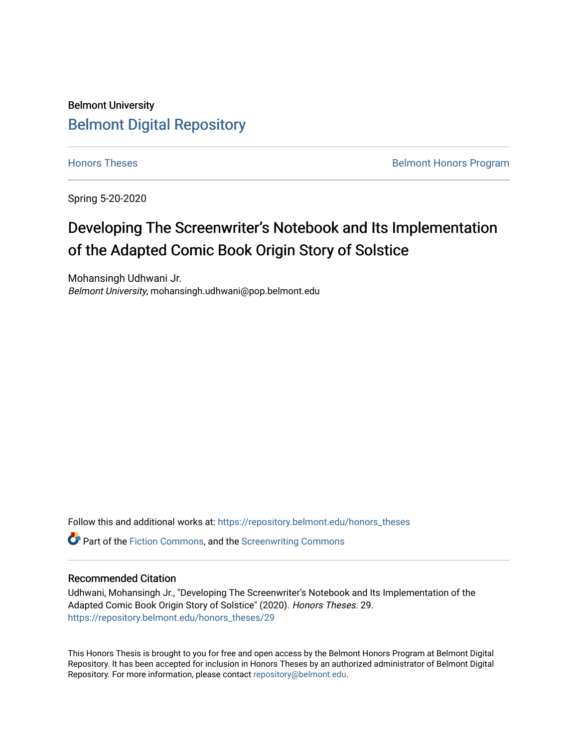## Belmont University [Belmont Digital Repository](https://repository.belmont.edu/)

[Honors Theses](https://repository.belmont.edu/honors_theses) **Belmont Honors Program** 

Spring 5-20-2020

## Developing The Screenwriter's Notebook and Its Implementation of the Adapted Comic Book Origin Story of Solstice

Mohansingh Udhwani Jr. Belmont University, mohansingh.udhwani@pop.belmont.edu

Follow this and additional works at: [https://repository.belmont.edu/honors\\_theses](https://repository.belmont.edu/honors_theses?utm_source=repository.belmont.edu%2Fhonors_theses%2F29&utm_medium=PDF&utm_campaign=PDFCoverPages) 

Part of the [Fiction Commons,](http://network.bepress.com/hgg/discipline/1151?utm_source=repository.belmont.edu%2Fhonors_theses%2F29&utm_medium=PDF&utm_campaign=PDFCoverPages) and the [Screenwriting Commons](http://network.bepress.com/hgg/discipline/1291?utm_source=repository.belmont.edu%2Fhonors_theses%2F29&utm_medium=PDF&utm_campaign=PDFCoverPages)

#### Recommended Citation

Udhwani, Mohansingh Jr., "Developing The Screenwriter's Notebook and Its Implementation of the Adapted Comic Book Origin Story of Solstice" (2020). Honors Theses. 29. [https://repository.belmont.edu/honors\\_theses/29](https://repository.belmont.edu/honors_theses/29?utm_source=repository.belmont.edu%2Fhonors_theses%2F29&utm_medium=PDF&utm_campaign=PDFCoverPages)

This Honors Thesis is brought to you for free and open access by the Belmont Honors Program at Belmont Digital Repository. It has been accepted for inclusion in Honors Theses by an authorized administrator of Belmont Digital Repository. For more information, please contact [repository@belmont.edu.](mailto:repository@belmont.edu)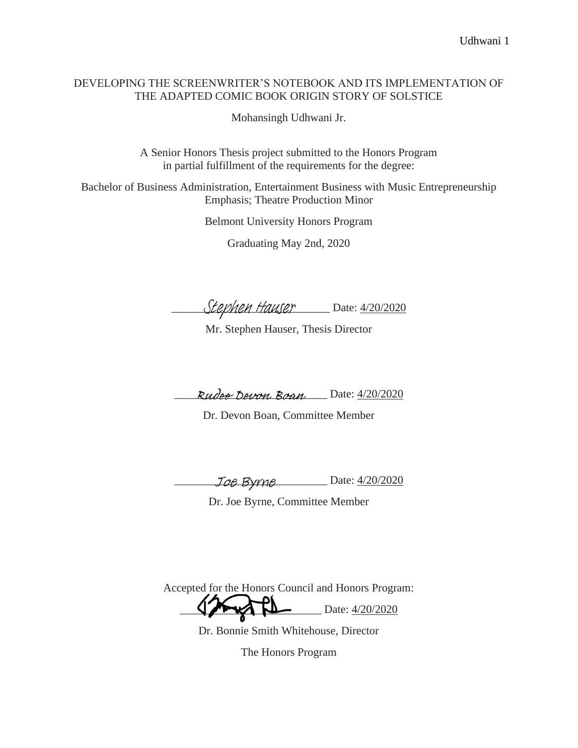#### DEVELOPING THE SCREENWRITER'S NOTEBOOK AND ITS IMPLEMENTATION OF THE ADAPTED COMIC BOOK ORIGIN STORY OF SOLSTICE

Mohansingh Udhwani Jr.

A Senior Honors Thesis project submitted to the Honors Program in partial fulfillment of the requirements for the degree:

Bachelor of Business Administration, Entertainment Business with Music Entrepreneurship Emphasis; Theatre Production Minor

Belmont University Honors Program

Graduating May 2nd, 2020

Stephen Hauser Date: 4/20/2020

Mr. Stephen Hauser, Thesis Director

Rudee Devon Boan Date: 4/20/2020

Dr. Devon Boan, Committee Member

Joe Byrne Date: 4/20/2020

Dr. Joe Byrne, Committee Member

Accepted for the Honors Council and Honors Program:  $\sum$  Date:  $\frac{4}{20/2020}$ 

Dr. Bonnie Smith Whitehouse, Director

The Honors Program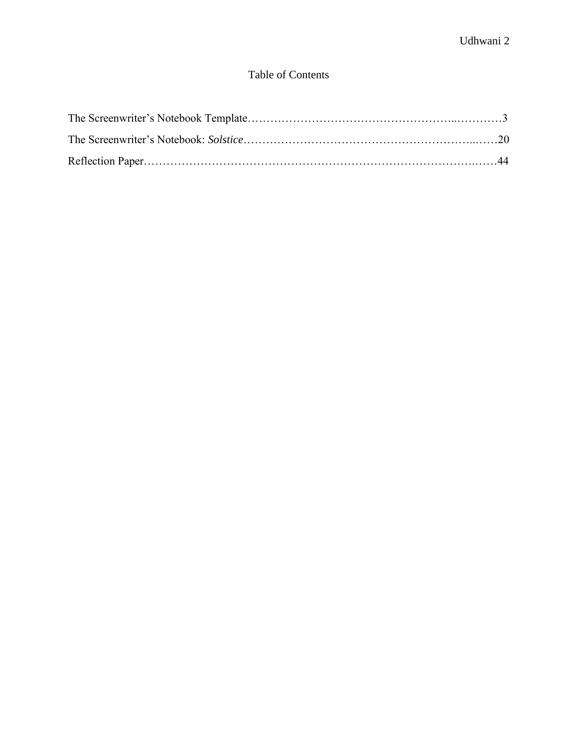### Table of Contents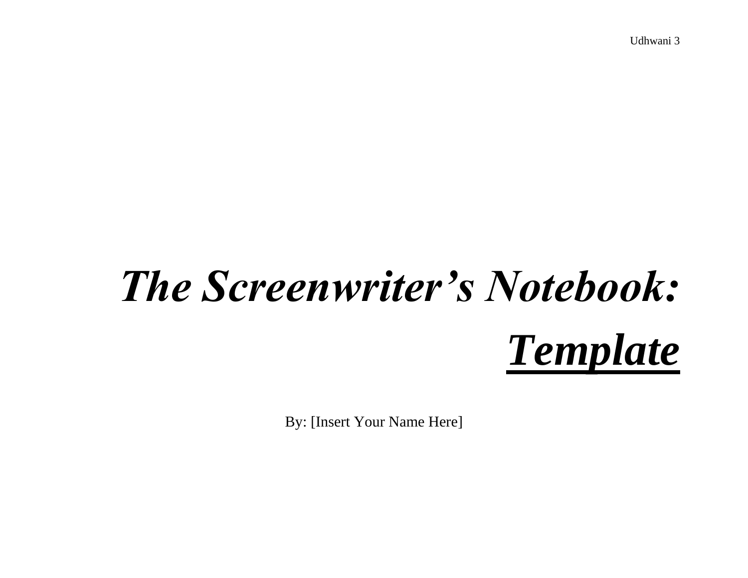# *The Screenwriter's Notebook: Template*

By: [Insert Your Name Here]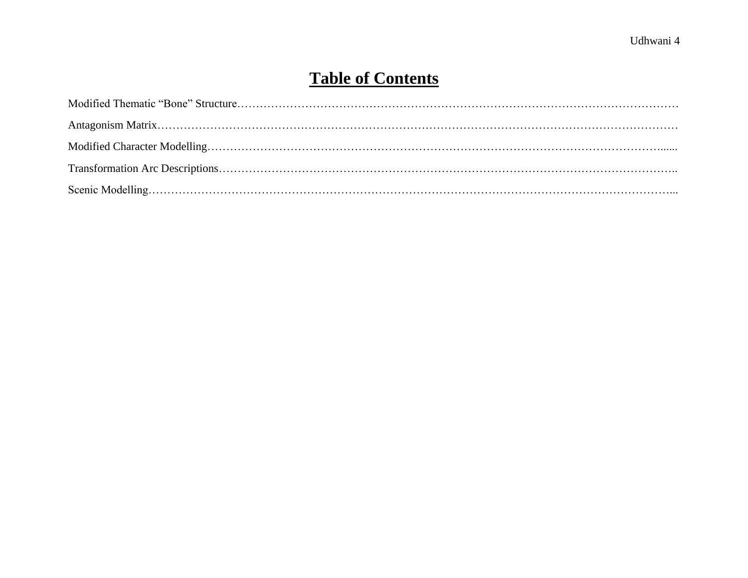## **Table of Contents**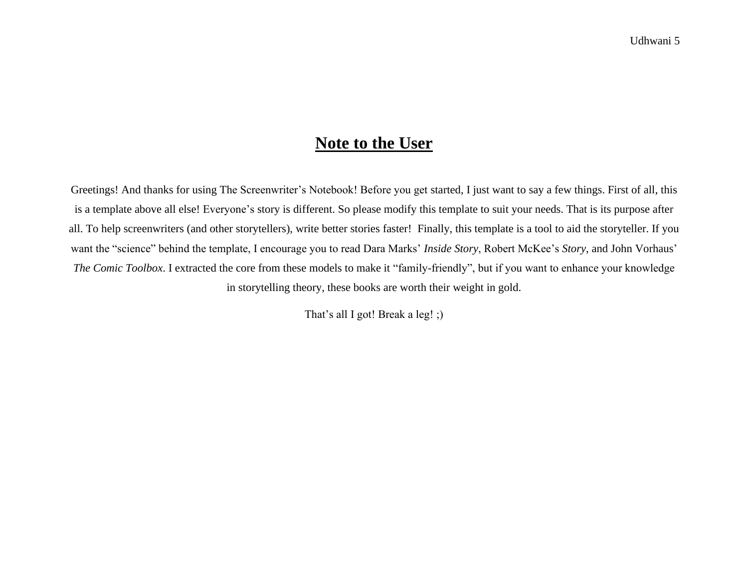## **Note to the User**

Greetings! And thanks for using The Screenwriter's Notebook! Before you get started, I just want to say a few things. First of all, this is a template above all else! Everyone's story is different. So please modify this template to suit your needs. That is its purpose after all. To help screenwriters (and other storytellers), write better stories faster! Finally, this template is a tool to aid the storyteller. If you want the "science" behind the template, I encourage you to read Dara Marks' *Inside Story*, Robert McKee's *Story*, and John Vorhaus' *The Comic Toolbox*. I extracted the core from these models to make it "family-friendly", but if you want to enhance your knowledge in storytelling theory, these books are worth their weight in gold.

That's all I got! Break a leg! ;)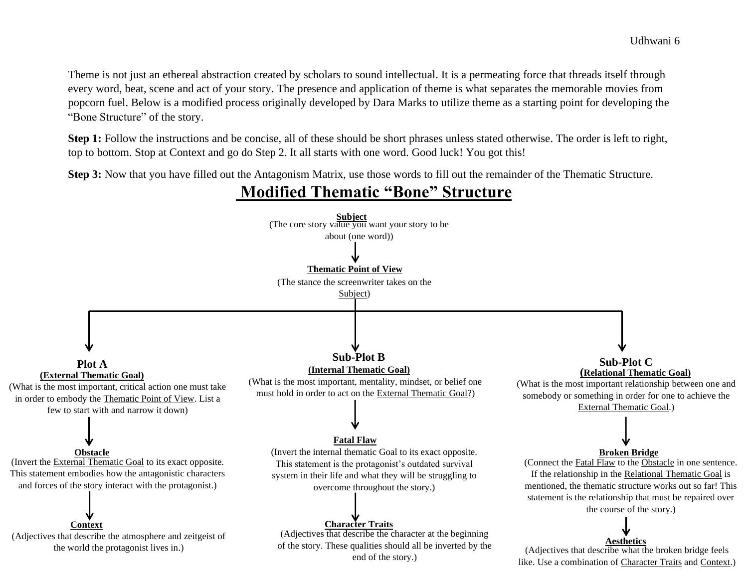Theme is not just an ethereal abstraction created by scholars to sound intellectual. It is a permeating force that threads itself through every word, beat, scene and act of your story. The presence and application of theme is what separates the memorable movies from popcorn fuel. Below is a modified process originally developed by Dara Marks to utilize theme as a starting point for developing the "Bone Structure" of the story.

**Step 1:** Follow the instructions and be concise, all of these should be short phrases unless stated otherwise. The order is left to right, top to bottom. Stop at Context and go do Step 2. It all starts with one word. Good luck! You got this!

**Step 3:** Now that you have filled out the Antagonism Matrix, use those words to fill out the remainder of the Thematic Structure.

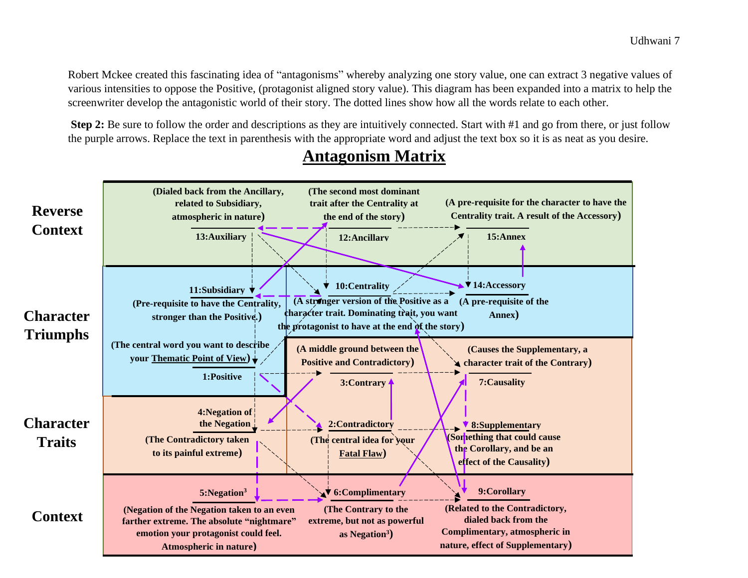Robert Mckee created this fascinating idea of "antagonisms" whereby analyzing one story value, one can extract 3 negative values of various intensities to oppose the Positive, (protagonist aligned story value). This diagram has been expanded into a matrix to help the screenwriter develop the antagonistic world of their story. The dotted lines show how all the words relate to each other.

**Step 2:** Be sure to follow the order and descriptions as they are intuitively connected. Start with #1 and go from there, or just follow the purple arrows. Replace the text in parenthesis with the appropriate word and adjust the text box so it is as neat as you desire.



## **Antagonism Matrix**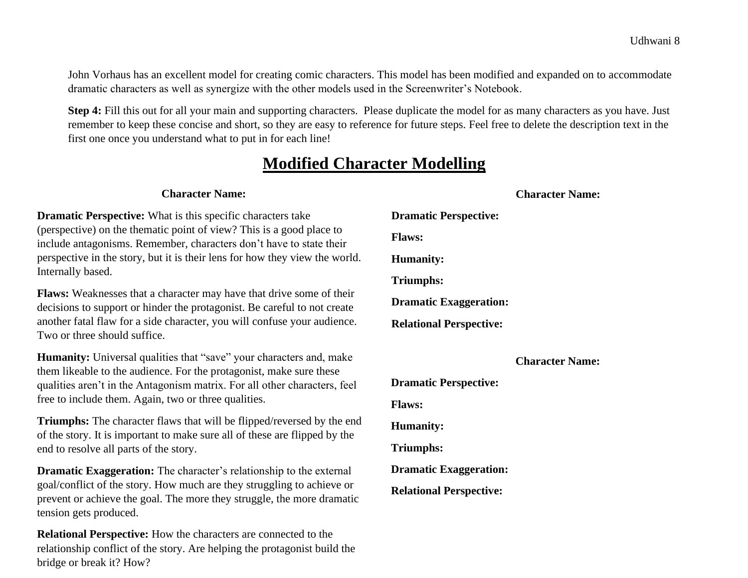John Vorhaus has an excellent model for creating comic characters. This model has been modified and expanded on to accommodate dramatic characters as well as synergize with the other models used in the Screenwriter's Notebook.

**Step 4:** Fill this out for all your main and supporting characters. Please duplicate the model for as many characters as you have. Just remember to keep these concise and short, so they are easy to reference for future steps. Feel free to delete the description text in the first one once you understand what to put in for each line!

## **Modified Character Modelling**

#### **Character Name: Dramatic Perspective:** What is this specific characters take (perspective) on the thematic point of view? This is a good place to include antagonisms. Remember, characters don't have to state their perspective in the story, but it is their lens for how they view the world. Internally based. **Flaws:** Weaknesses that a character may have that drive some of their decisions to support or hinder the protagonist. Be careful to not create another fatal flaw for a side character, you will confuse your audience. Two or three should suffice. Humanity: Universal qualities that "save" your characters and, make them likeable to the audience. For the protagonist, make sure these qualities aren't in the Antagonism matrix. For all other characters, feel free to include them. Again, two or three qualities. **Triumphs:** The character flaws that will be flipped/reversed by the end of the story. It is important to make sure all of these are flipped by the end to resolve all parts of the story. **Dramatic Exaggeration:** The character's relationship to the external goal/conflict of the story. How much are they struggling to achieve or prevent or achieve the goal. The more they struggle, the more dramatic tension gets produced. **Character Name: Dramatic Perspective: Flaws: Humanity: Triumphs: Dramatic Exaggeration: Relational Perspective: Character Name: Dramatic Perspective: Flaws: Humanity: Triumphs: Dramatic Exaggeration: Relational Perspective:**

**Relational Perspective:** How the characters are connected to the relationship conflict of the story. Are helping the protagonist build the bridge or break it? How?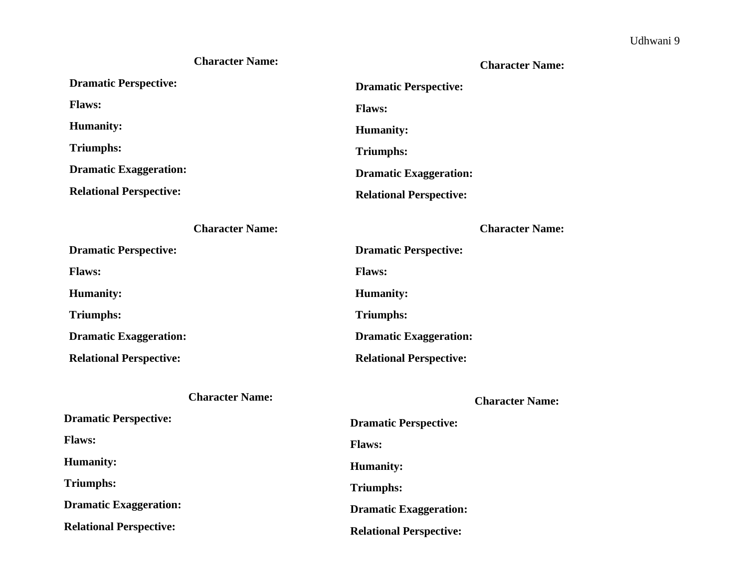#### **Character Name:**

#### **Character Name:**

| <b>Dramatic Perspective:</b>   | <b>Dramatic Perspective:</b>   |
|--------------------------------|--------------------------------|
| <b>Flaws:</b>                  | <b>Flaws:</b>                  |
| <b>Humanity:</b>               | <b>Humanity:</b>               |
| <b>Triumphs:</b>               | <b>Triumphs:</b>               |
| <b>Dramatic Exaggeration:</b>  | <b>Dramatic Exaggeration:</b>  |
| <b>Relational Perspective:</b> | <b>Relational Perspective:</b> |
| <b>Character Name:</b>         | <b>Character Name:</b>         |
| <b>Dramatic Perspective:</b>   | <b>Dramatic Perspective:</b>   |
| <b>Flaws:</b>                  | <b>Flaws:</b>                  |
| <b>Humanity:</b>               | <b>Humanity:</b>               |
| <b>Triumphs:</b>               | <b>Triumphs:</b>               |
| <b>Dramatic Exaggeration:</b>  | <b>Dramatic Exaggeration:</b>  |
| <b>Relational Perspective:</b> | <b>Relational Perspective:</b> |
| <b>Character Name:</b>         | <b>Character Name:</b>         |
| <b>Dramatic Perspective:</b>   | <b>Dramatic Perspective:</b>   |
| <b>Flaws:</b>                  | <b>Flaws:</b>                  |
| <b>Humanity:</b>               | <b>Humanity:</b>               |
| <b>Triumphs:</b>               | <b>Triumphs:</b>               |

**Dramatic Exaggeration:** 

**Relational Perspective:** 

### **Relational Perspective:**

**Dramatic Exaggeration:**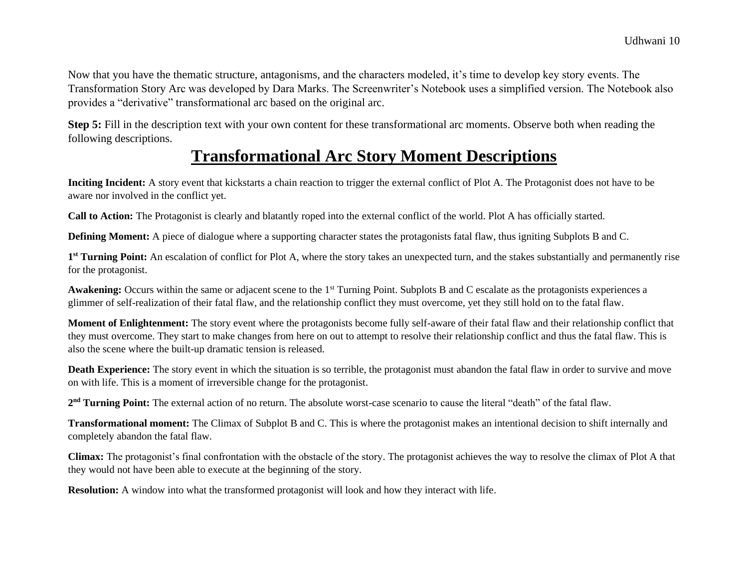Now that you have the thematic structure, antagonisms, and the characters modeled, it's time to develop key story events. The Transformation Story Arc was developed by Dara Marks. The Screenwriter's Notebook uses a simplified version. The Notebook also provides a "derivative" transformational arc based on the original arc.

**Step 5:** Fill in the description text with your own content for these transformational arc moments. Observe both when reading the following descriptions.

## **Transformational Arc Story Moment Descriptions**

**Inciting Incident:** A story event that kickstarts a chain reaction to trigger the external conflict of Plot A. The Protagonist does not have to be aware nor involved in the conflict yet.

**Call to Action:** The Protagonist is clearly and blatantly roped into the external conflict of the world. Plot A has officially started.

**Defining Moment:** A piece of dialogue where a supporting character states the protagonists fatal flaw, thus igniting Subplots B and C.

1<sup>st</sup> Turning Point: An escalation of conflict for Plot A, where the story takes an unexpected turn, and the stakes substantially and permanently rise for the protagonist.

**Awakening:** Occurs within the same or adjacent scene to the 1<sup>st</sup> Turning Point. Subplots B and C escalate as the protagonists experiences a glimmer of self-realization of their fatal flaw, and the relationship conflict they must overcome, yet they still hold on to the fatal flaw.

**Moment of Enlightenment:** The story event where the protagonists become fully self-aware of their fatal flaw and their relationship conflict that they must overcome. They start to make changes from here on out to attempt to resolve their relationship conflict and thus the fatal flaw. This is also the scene where the built-up dramatic tension is released.

**Death Experience:** The story event in which the situation is so terrible, the protagonist must abandon the fatal flaw in order to survive and move on with life. This is a moment of irreversible change for the protagonist.

2<sup>nd</sup> Turning Point: The external action of no return. The absolute worst-case scenario to cause the literal "death" of the fatal flaw.

**Transformational moment:** The Climax of Subplot B and C. This is where the protagonist makes an intentional decision to shift internally and completely abandon the fatal flaw.

**Climax:** The protagonist's final confrontation with the obstacle of the story. The protagonist achieves the way to resolve the climax of Plot A that they would not have been able to execute at the beginning of the story.

**Resolution:** A window into what the transformed protagonist will look and how they interact with life.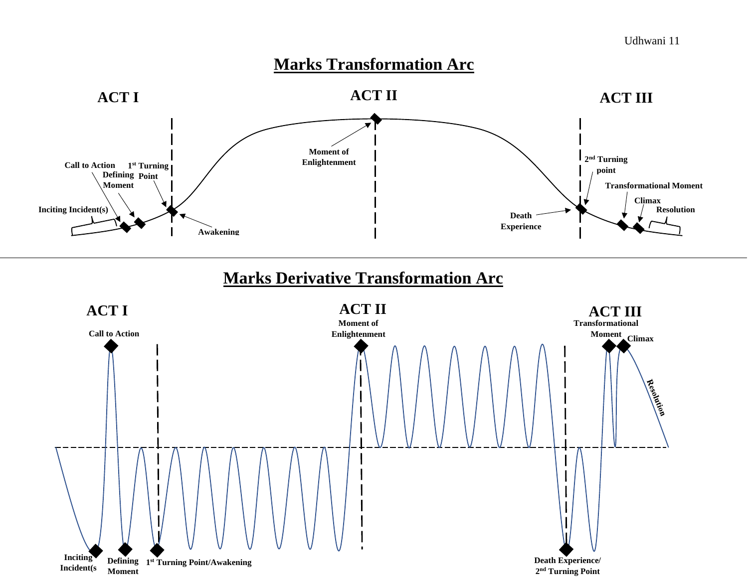## **Marks Transformation Arc**



## **Marks Derivative Transformation Arc**

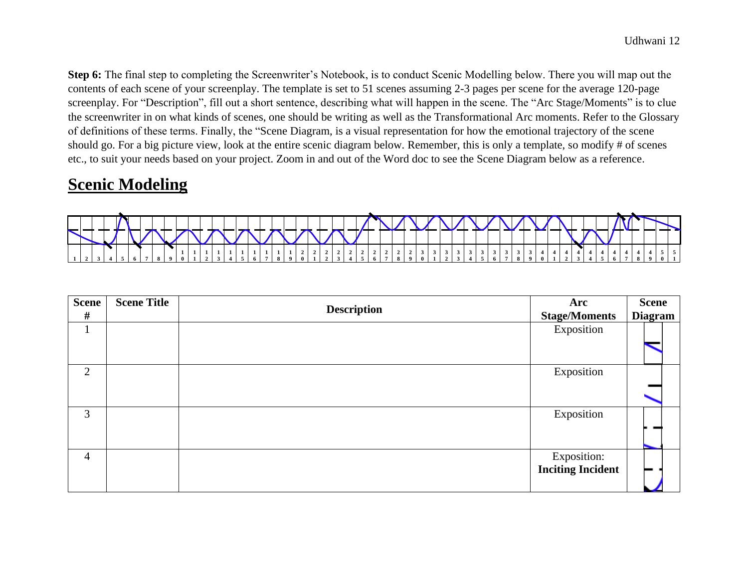**Step 6:** The final step to completing the Screenwriter's Notebook, is to conduct Scenic Modelling below. There you will map out the contents of each scene of your screenplay. The template is set to 51 scenes assuming 2-3 pages per scene for the average 120-page screenplay. For "Description", fill out a short sentence, describing what will happen in the scene. The "Arc Stage/Moments" is to clue the screenwriter in on what kinds of scenes, one should be writing as well as the Transformational Arc moments. Refer to the Glossary of definitions of these terms. Finally, the "Scene Diagram, is a visual representation for how the emotional trajectory of the scene should go. For a big picture view, look at the entire scenic diagram below. Remember, this is only a template, so modify # of scenes etc., to suit your needs based on your project. Zoom in and out of the Word doc to see the Scene Diagram below as a reference.

## **Scenic Modeling**



| <b>Scene</b><br>$\#$ | <b>Scene Title</b> | <b>Description</b> | Arc<br><b>Stage/Moments</b>             | <b>Scene</b><br><b>Diagram</b> |
|----------------------|--------------------|--------------------|-----------------------------------------|--------------------------------|
| $\mathbf{1}$         |                    |                    | Exposition                              |                                |
| 2                    |                    |                    | Exposition                              |                                |
| 3                    |                    |                    | Exposition                              |                                |
| $\overline{4}$       |                    |                    | Exposition:<br><b>Inciting Incident</b> |                                |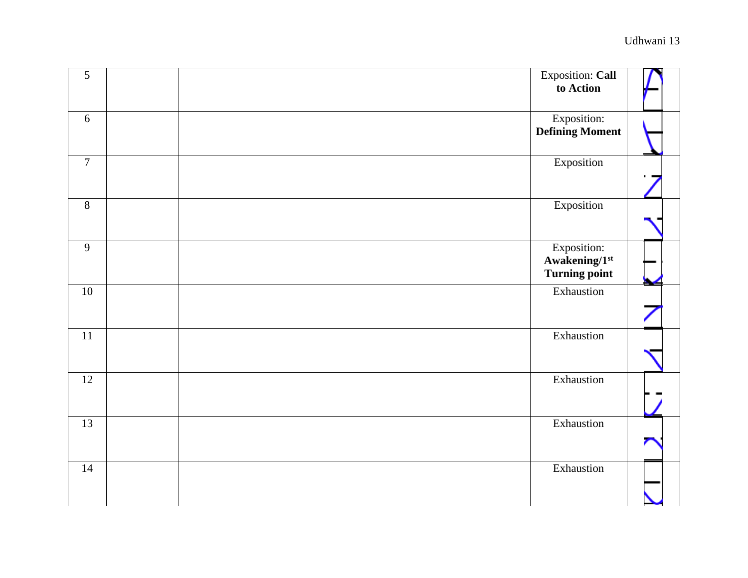| $\overline{5}$ | Exposition: Call<br>to Action                        |  |
|----------------|------------------------------------------------------|--|
| 6              | <b>Exposition:</b><br><b>Defining Moment</b>         |  |
| $\overline{7}$ | Exposition                                           |  |
| 8              | Exposition                                           |  |
| 9              | Exposition:<br>Awakening/1st<br><b>Turning point</b> |  |
| $10\,$         | Exhaustion                                           |  |
| $11\,$         | Exhaustion                                           |  |
| 12             | Exhaustion                                           |  |
| 13             | Exhaustion                                           |  |
| $14\,$         | Exhaustion                                           |  |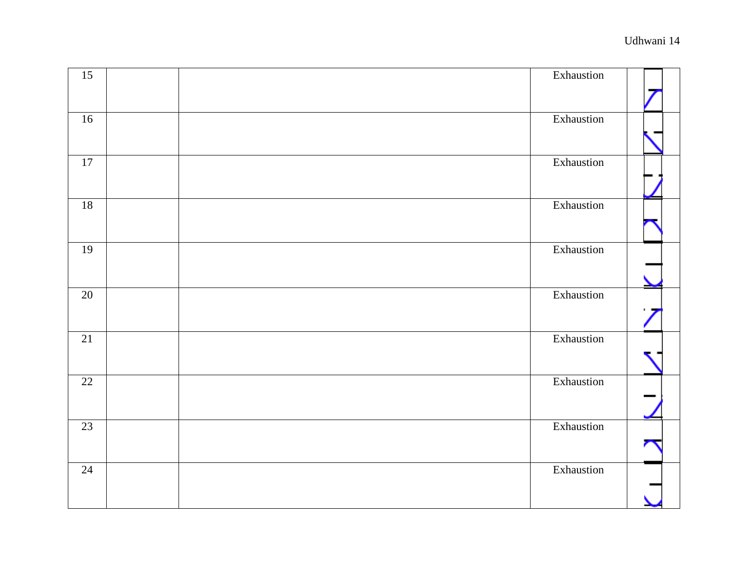| $\overline{15}$ | Exhaustion |  |
|-----------------|------------|--|
|                 |            |  |
| 16              | Exhaustion |  |
|                 |            |  |
| $\overline{17}$ | Exhaustion |  |
|                 |            |  |
| 18              | Exhaustion |  |
|                 |            |  |
| 19              | Exhaustion |  |
|                 |            |  |
| 20              | Exhaustion |  |
|                 |            |  |
| 21              | Exhaustion |  |
|                 |            |  |
| 22              | Exhaustion |  |
|                 |            |  |
| 23              | Exhaustion |  |
|                 |            |  |
| $\overline{24}$ | Exhaustion |  |
|                 |            |  |
|                 |            |  |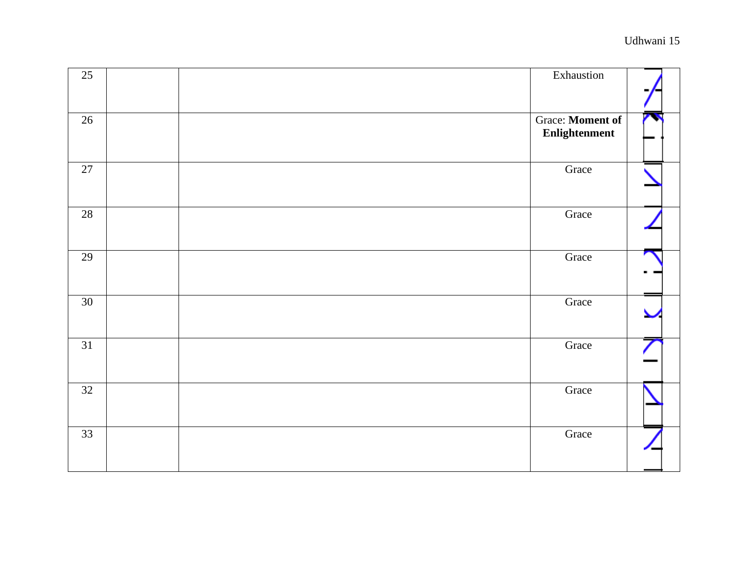| $\overline{25}$ | Exhaustion                               |  |
|-----------------|------------------------------------------|--|
| $\overline{26}$ | <b>Grace:</b> Moment of<br>Enlightenment |  |
| $\overline{27}$ | Grace                                    |  |
| 28              | Grace                                    |  |
| 29              | Grace                                    |  |
| 30              | Grace                                    |  |
| $\overline{31}$ | Grace                                    |  |
| $\overline{32}$ | Grace                                    |  |
| 33              | Grace                                    |  |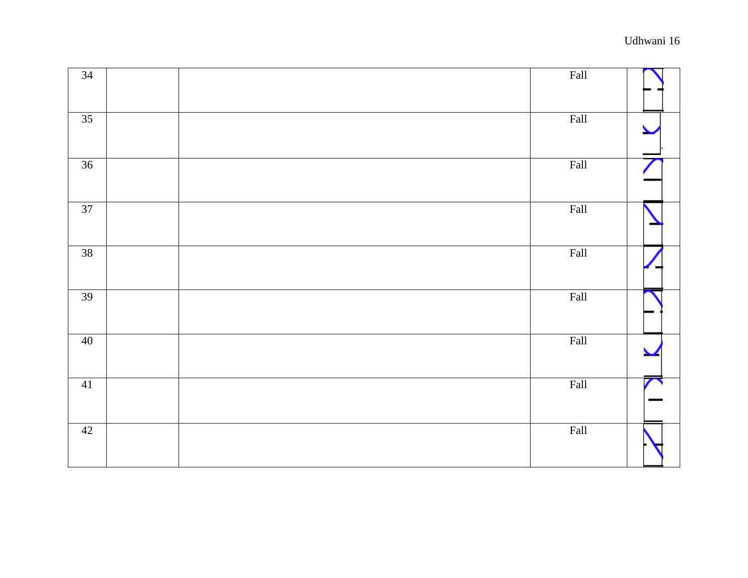| $\overline{34}$ | Fall |  |
|-----------------|------|--|
| 35              | Fall |  |
| 36              | Fall |  |
| 37              | Fall |  |
| 38              | Fall |  |
| 39              | Fall |  |
| 40              | Fall |  |
| 41              | Fall |  |
| 42              | Fall |  |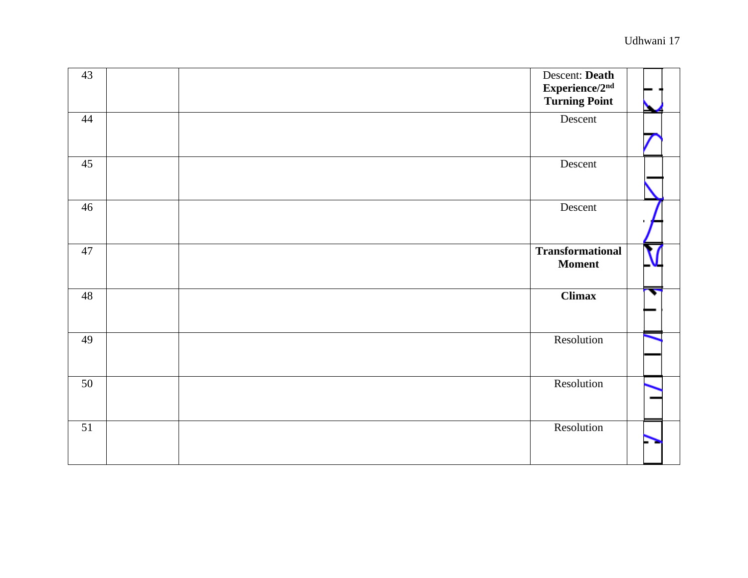| 43 | Descent: Death<br>Experience/2nd<br><b>Turning Point</b> |  |
|----|----------------------------------------------------------|--|
| 44 | Descent                                                  |  |
| 45 | Descent                                                  |  |
| 46 | Descent                                                  |  |
| 47 | <b>Transformational</b><br><b>Moment</b>                 |  |
| 48 | <b>Climax</b>                                            |  |
| 49 | Resolution                                               |  |
| 50 | Resolution                                               |  |
| 51 | Resolution                                               |  |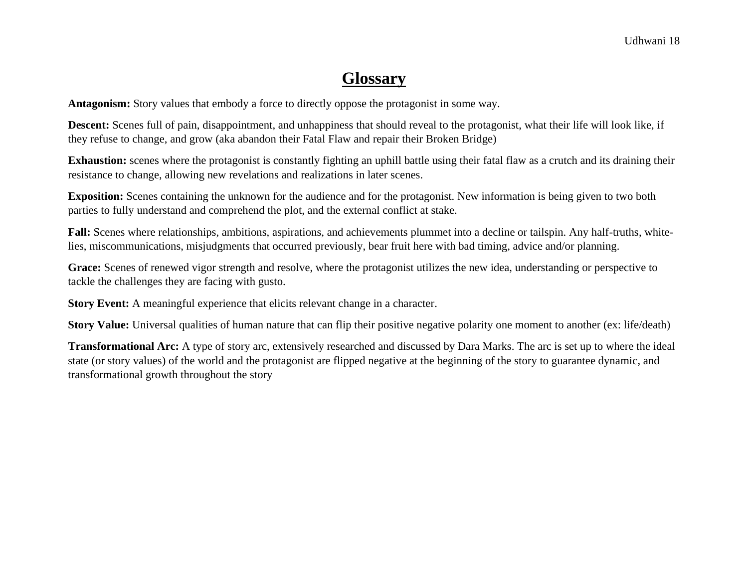## **Glossary**

**Antagonism:** Story values that embody a force to directly oppose the protagonist in some way.

**Descent:** Scenes full of pain, disappointment, and unhappiness that should reveal to the protagonist, what their life will look like, if they refuse to change, and grow (aka abandon their Fatal Flaw and repair their Broken Bridge)

**Exhaustion:** scenes where the protagonist is constantly fighting an uphill battle using their fatal flaw as a crutch and its draining their resistance to change, allowing new revelations and realizations in later scenes.

**Exposition:** Scenes containing the unknown for the audience and for the protagonist. New information is being given to two both parties to fully understand and comprehend the plot, and the external conflict at stake.

**Fall:** Scenes where relationships, ambitions, aspirations, and achievements plummet into a decline or tailspin. Any half-truths, whitelies, miscommunications, misjudgments that occurred previously, bear fruit here with bad timing, advice and/or planning.

**Grace:** Scenes of renewed vigor strength and resolve, where the protagonist utilizes the new idea, understanding or perspective to tackle the challenges they are facing with gusto.

**Story Event:** A meaningful experience that elicits relevant change in a character.

**Story Value:** Universal qualities of human nature that can flip their positive negative polarity one moment to another (ex: life/death)

**Transformational Arc:** A type of story arc, extensively researched and discussed by Dara Marks. The arc is set up to where the ideal state (or story values) of the world and the protagonist are flipped negative at the beginning of the story to guarantee dynamic, and transformational growth throughout the story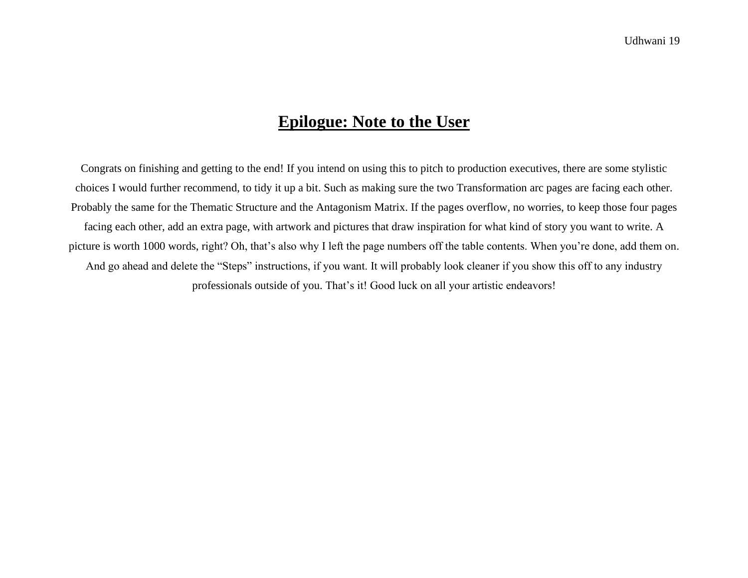## **Epilogue: Note to the User**

Congrats on finishing and getting to the end! If you intend on using this to pitch to production executives, there are some stylistic choices I would further recommend, to tidy it up a bit. Such as making sure the two Transformation arc pages are facing each other. Probably the same for the Thematic Structure and the Antagonism Matrix. If the pages overflow, no worries, to keep those four pages facing each other, add an extra page, with artwork and pictures that draw inspiration for what kind of story you want to write. A picture is worth 1000 words, right? Oh, that's also why I left the page numbers off the table contents. When you're done, add them on. And go ahead and delete the "Steps" instructions, if you want. It will probably look cleaner if you show this off to any industry professionals outside of you. That's it! Good luck on all your artistic endeavors!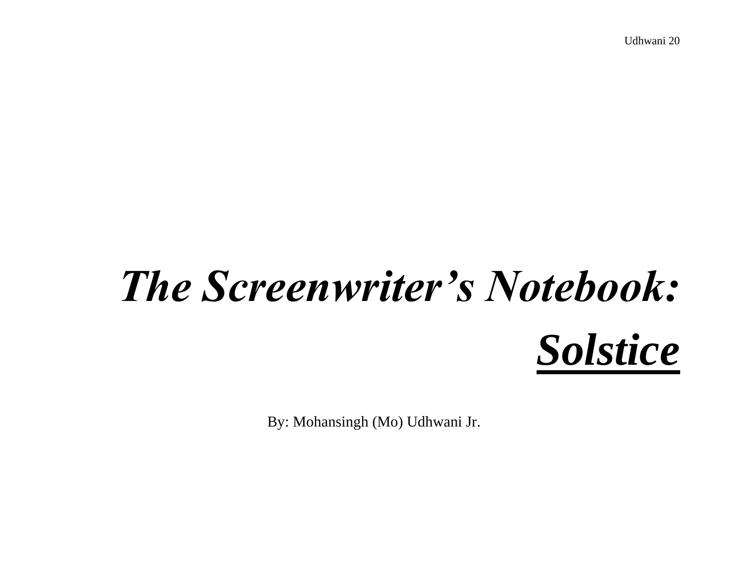## *The Screenwriter's Notebook: Solstice*

By: Mohansingh (Mo) Udhwani Jr.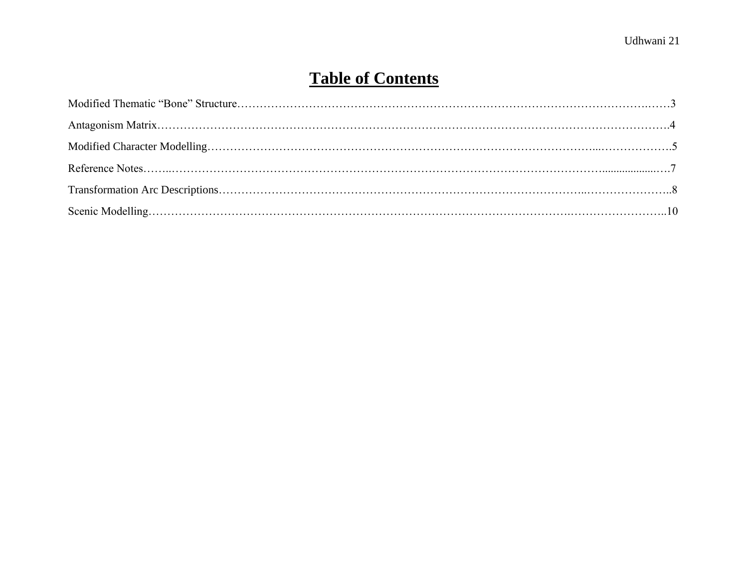## **Table of Contents**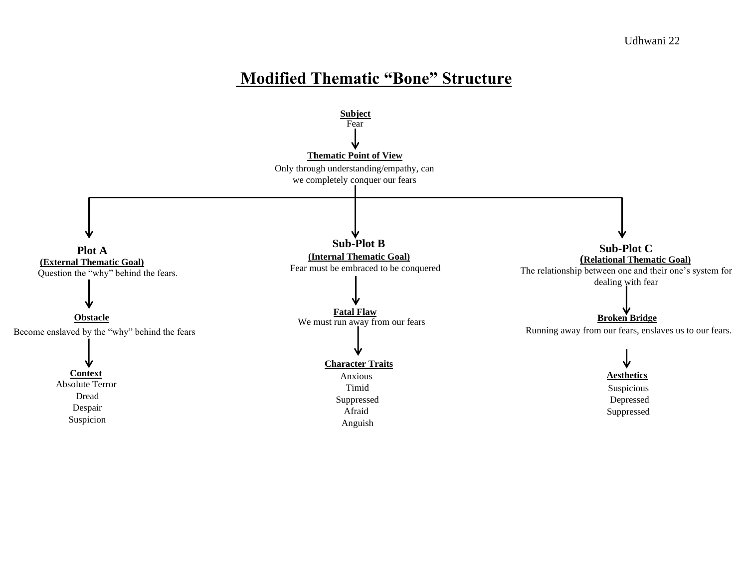## **Modified Thematic "Bone" Structure**

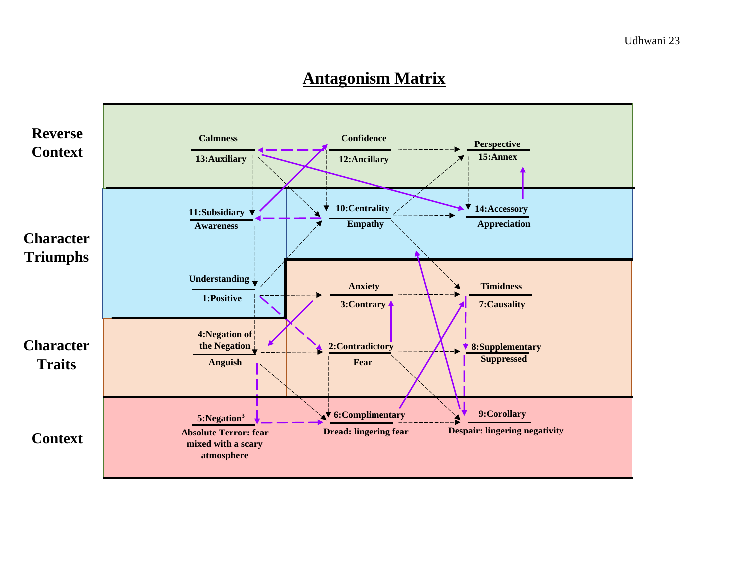## **Antagonism Matrix**

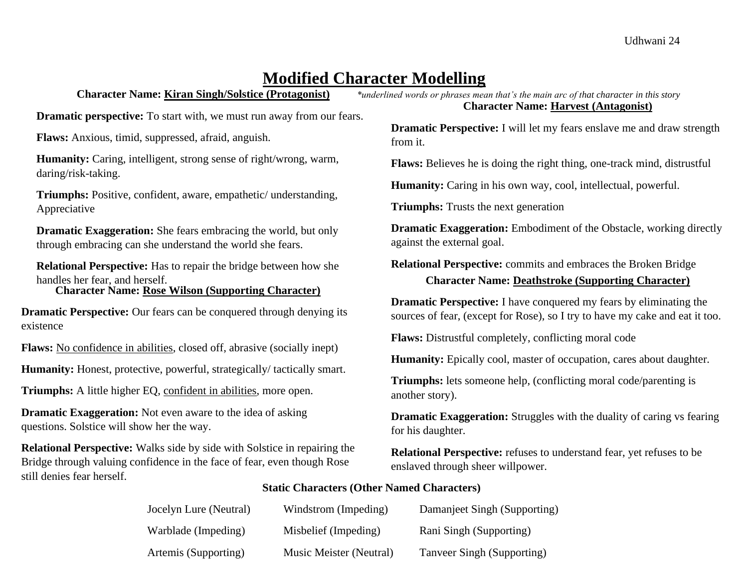## **Modified Character Modelling**

**Dramatic perspective:** To start with, we must run away from our fears.

**Flaws:** Anxious, timid, suppressed, afraid, anguish.

**Humanity:** Caring, intelligent, strong sense of right/wrong, warm, daring/risk-taking.

**Triumphs:** Positive, confident, aware, empathetic/ understanding, Appreciative

**Dramatic Exaggeration:** She fears embracing the world, but only through embracing can she understand the world she fears.

**Relational Perspective:** Has to repair the bridge between how she handles her fear, and herself. **Character Name: Rose Wilson (Supporting Character)**

**Dramatic Perspective:** Our fears can be conquered through denying its existence

**Flaws:** No confidence in abilities, closed off, abrasive (socially inept)

Humanity: Honest, protective, powerful, strategically/tactically smart.

**Triumphs:** A little higher EQ, confident in abilities, more open.

**Dramatic Exaggeration:** Not even aware to the idea of asking questions. Solstice will show her the way.

**Relational Perspective:** Walks side by side with Solstice in repairing the Bridge through valuing confidence in the face of fear, even though Rose still denies fear herself.

**Character Name: Kiran Singh/Solstice (Protagonist)** *\*underlined words or phrases mean that's the main arc of that character in this story* **Character Name: Harvest (Antagonist)**

> **Dramatic Perspective:** I will let my fears enslave me and draw strength from it.

**Flaws:** Believes he is doing the right thing, one-track mind, distrustful

**Humanity:** Caring in his own way, cool, intellectual, powerful.

**Triumphs:** Trusts the next generation

**Dramatic Exaggeration:** Embodiment of the Obstacle, working directly against the external goal.

**Relational Perspective:** commits and embraces the Broken Bridge **Character Name: Deathstroke (Supporting Character)**

**Dramatic Perspective:** I have conquered my fears by eliminating the sources of fear, (except for Rose), so I try to have my cake and eat it too.

**Flaws:** Distrustful completely, conflicting moral code

**Humanity:** Epically cool, master of occupation, cares about daughter.

**Triumphs:** lets someone help, (conflicting moral code/parenting is another story).

**Dramatic Exaggeration:** Struggles with the duality of caring vs fearing for his daughter.

**Relational Perspective:** refuses to understand fear, yet refuses to be enslaved through sheer willpower.

#### **Static Characters (Other Named Characters)**

| Jocelyn Lure (Neutral) | Windstrom (Impeding)    | Damanjeet Singh (Supporting) |
|------------------------|-------------------------|------------------------------|
| Warblade (Impeding)    | Misbelief (Impeding)    | Rani Singh (Supporting)      |
| Artemis (Supporting)   | Music Meister (Neutral) | Tanveer Singh (Supporting)   |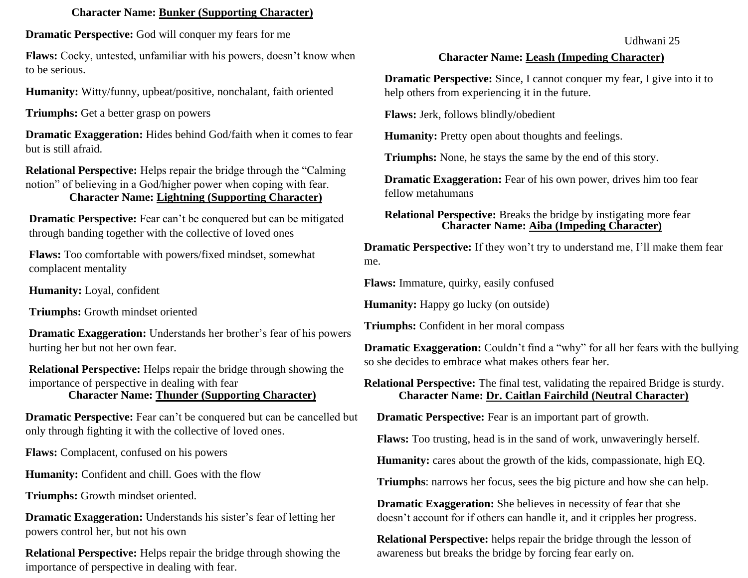#### **Character Name: Bunker (Supporting Character)**

**Dramatic Perspective:** God will conquer my fears for me

**Flaws:** Cocky, untested, unfamiliar with his powers, doesn't know when to be serious.

**Humanity:** Witty/funny, upbeat/positive, nonchalant, faith oriented

**Triumphs:** Get a better grasp on powers

**Dramatic Exaggeration:** Hides behind God/faith when it comes to fear but is still afraid.

**Relational Perspective:** Helps repair the bridge through the "Calming notion" of believing in a God/higher power when coping with fear.

#### **Character Name: Lightning (Supporting Character)**

**Dramatic Perspective:** Fear can't be conquered but can be mitigated through banding together with the collective of loved ones

**Flaws:** Too comfortable with powers/fixed mindset, somewhat complacent mentality

**Humanity:** Loyal, confident

**Triumphs:** Growth mindset oriented

**Dramatic Exaggeration:** Understands her brother's fear of his powers hurting her but not her own fear.

**Relational Perspective:** Helps repair the bridge through showing the importance of perspective in dealing with fear **Character Name: Thunder (Supporting Character)**

**Dramatic Perspective:** Fear can't be conquered but can be cancelled but only through fighting it with the collective of loved ones.

**Flaws:** Complacent, confused on his powers

**Humanity:** Confident and chill. Goes with the flow

**Triumphs:** Growth mindset oriented.

**Dramatic Exaggeration:** Understands his sister's fear of letting her powers control her, but not his own

**Relational Perspective:** Helps repair the bridge through showing the importance of perspective in dealing with fear.

#### Udhwani 25

#### **Character Name: Leash (Impeding Character)**

**Dramatic Perspective:** Since, I cannot conquer my fear, I give into it to help others from experiencing it in the future.

**Flaws:** Jerk, follows blindly/obedient

**Humanity:** Pretty open about thoughts and feelings.

**Triumphs:** None, he stays the same by the end of this story.

**Dramatic Exaggeration:** Fear of his own power, drives him too fear fellow metahumans

**Relational Perspective:** Breaks the bridge by instigating more fear **Character Name: Aiba (Impeding Character)**

**Dramatic Perspective:** If they won't try to understand me, I'll make them fear me.

**Flaws:** Immature, quirky, easily confused

**Humanity:** Happy go lucky (on outside)

**Triumphs:** Confident in her moral compass

**Dramatic Exaggeration:** Couldn't find a "why" for all her fears with the bullying so she decides to embrace what makes others fear her.

**Relational Perspective:** The final test, validating the repaired Bridge is sturdy. **Character Name: Dr. Caitlan Fairchild (Neutral Character)**

**Dramatic Perspective:** Fear is an important part of growth.

**Flaws:** Too trusting, head is in the sand of work, unwaveringly herself.

**Humanity:** cares about the growth of the kids, compassionate, high EQ.

**Triumphs**: narrows her focus, sees the big picture and how she can help.

**Dramatic Exaggeration:** She believes in necessity of fear that she doesn't account for if others can handle it, and it cripples her progress.

**Relational Perspective:** helps repair the bridge through the lesson of awareness but breaks the bridge by forcing fear early on.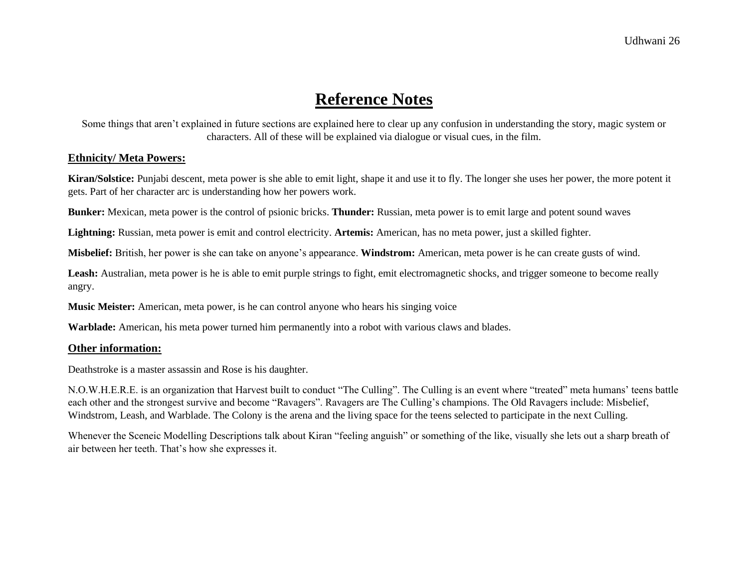## **Reference Notes**

Some things that aren't explained in future sections are explained here to clear up any confusion in understanding the story, magic system or characters. All of these will be explained via dialogue or visual cues, in the film.

#### **Ethnicity/ Meta Powers:**

**Kiran/Solstice:** Punjabi descent, meta power is she able to emit light, shape it and use it to fly. The longer she uses her power, the more potent it gets. Part of her character arc is understanding how her powers work.

**Bunker:** Mexican, meta power is the control of psionic bricks. **Thunder:** Russian, meta power is to emit large and potent sound waves

**Lightning:** Russian, meta power is emit and control electricity. **Artemis:** American, has no meta power, just a skilled fighter.

**Misbelief:** British, her power is she can take on anyone's appearance. **Windstrom:** American, meta power is he can create gusts of wind.

Leash: Australian, meta power is he is able to emit purple strings to fight, emit electromagnetic shocks, and trigger someone to become really angry.

**Music Meister:** American, meta power, is he can control anyone who hears his singing voice

**Warblade:** American, his meta power turned him permanently into a robot with various claws and blades.

#### **Other information:**

Deathstroke is a master assassin and Rose is his daughter.

N.O.W.H.E.R.E. is an organization that Harvest built to conduct "The Culling". The Culling is an event where "treated" meta humans' teens battle each other and the strongest survive and become "Ravagers". Ravagers are The Culling's champions. The Old Ravagers include: Misbelief, Windstrom, Leash, and Warblade. The Colony is the arena and the living space for the teens selected to participate in the next Culling.

Whenever the Sceneic Modelling Descriptions talk about Kiran "feeling anguish" or something of the like, visually she lets out a sharp breath of air between her teeth. That's how she expresses it.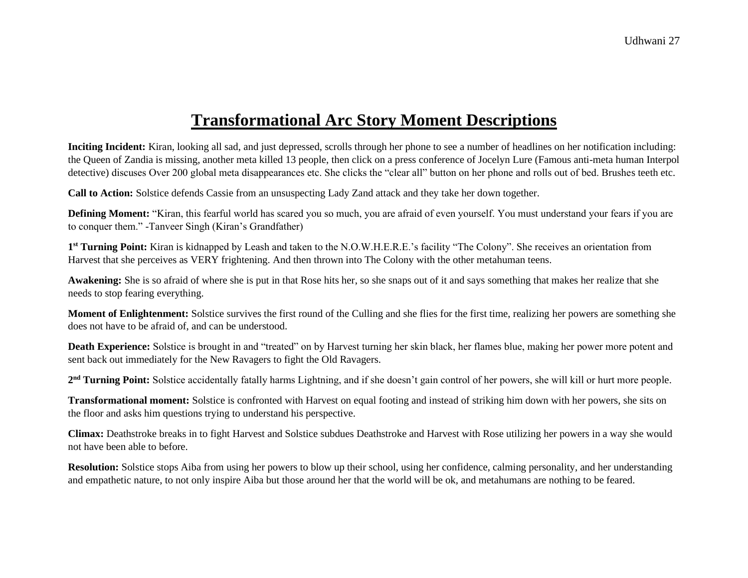## **Transformational Arc Story Moment Descriptions**

**Inciting Incident:** Kiran, looking all sad, and just depressed, scrolls through her phone to see a number of headlines on her notification including: the Queen of Zandia is missing, another meta killed 13 people, then click on a press conference of Jocelyn Lure (Famous anti-meta human Interpol detective) discuses Over 200 global meta disappearances etc. She clicks the "clear all" button on her phone and rolls out of bed. Brushes teeth etc.

**Call to Action:** Solstice defends Cassie from an unsuspecting Lady Zand attack and they take her down together.

**Defining Moment:** "Kiran, this fearful world has scared you so much, you are afraid of even yourself. You must understand your fears if you are to conquer them." -Tanveer Singh (Kiran's Grandfather)

**1 st Turning Point:** Kiran is kidnapped by Leash and taken to the N.O.W.H.E.R.E.'s facility "The Colony". She receives an orientation from Harvest that she perceives as VERY frightening. And then thrown into The Colony with the other metahuman teens.

**Awakening:** She is so afraid of where she is put in that Rose hits her, so she snaps out of it and says something that makes her realize that she needs to stop fearing everything.

**Moment of Enlightenment:** Solstice survives the first round of the Culling and she flies for the first time, realizing her powers are something she does not have to be afraid of, and can be understood.

**Death Experience:** Solstice is brought in and "treated" on by Harvest turning her skin black, her flames blue, making her power more potent and sent back out immediately for the New Ravagers to fight the Old Ravagers.

2<sup>nd</sup> Turning Point: Solstice accidentally fatally harms Lightning, and if she doesn't gain control of her powers, she will kill or hurt more people.

**Transformational moment:** Solstice is confronted with Harvest on equal footing and instead of striking him down with her powers, she sits on the floor and asks him questions trying to understand his perspective.

**Climax:** Deathstroke breaks in to fight Harvest and Solstice subdues Deathstroke and Harvest with Rose utilizing her powers in a way she would not have been able to before.

**Resolution:** Solstice stops Aiba from using her powers to blow up their school, using her confidence, calming personality, and her understanding and empathetic nature, to not only inspire Aiba but those around her that the world will be ok, and metahumans are nothing to be feared.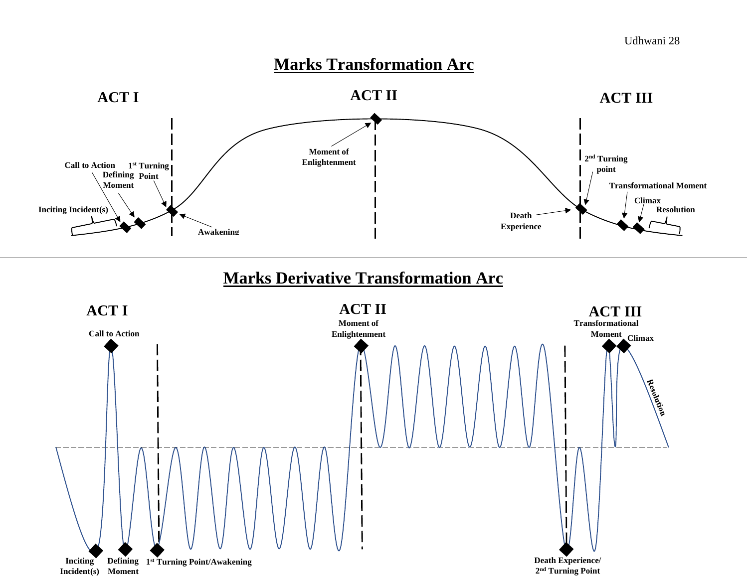## **Marks Transformation Arc**



## **Marks Derivative Transformation Arc**

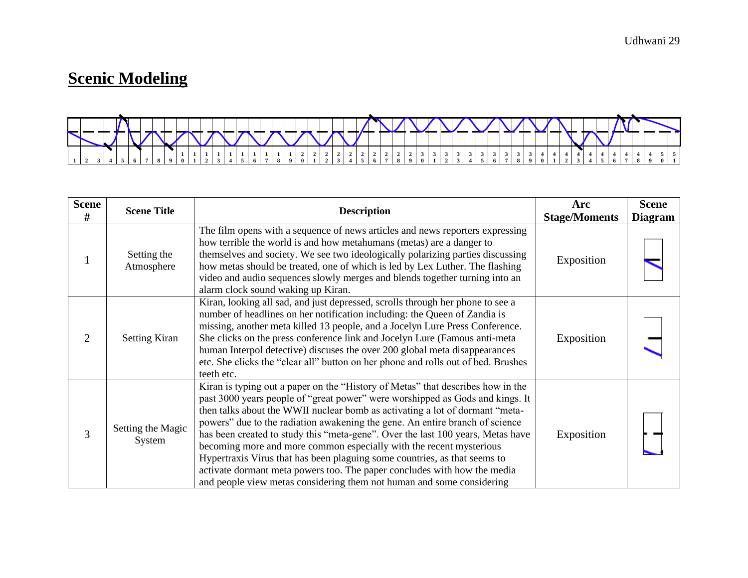## **Scenic Modeling**



| <b>Scene</b><br># | <b>Scene Title</b>          | <b>Description</b>                                                                                                                                                                                                                                                                                                                                                                                                                                                                                                                                                                                                                                                                                                           | Arc<br><b>Stage/Moments</b> | <b>Scene</b><br><b>Diagram</b> |
|-------------------|-----------------------------|------------------------------------------------------------------------------------------------------------------------------------------------------------------------------------------------------------------------------------------------------------------------------------------------------------------------------------------------------------------------------------------------------------------------------------------------------------------------------------------------------------------------------------------------------------------------------------------------------------------------------------------------------------------------------------------------------------------------------|-----------------------------|--------------------------------|
| 1                 | Setting the<br>Atmosphere   | The film opens with a sequence of news articles and news reporters expressing<br>how terrible the world is and how metahumans (metas) are a danger to<br>themselves and society. We see two ideologically polarizing parties discussing<br>how metas should be treated, one of which is led by Lex Luther. The flashing<br>video and audio sequences slowly merges and blends together turning into an<br>alarm clock sound waking up Kiran.                                                                                                                                                                                                                                                                                 | Exposition                  |                                |
| 2                 | <b>Setting Kiran</b>        | Kiran, looking all sad, and just depressed, scrolls through her phone to see a<br>number of headlines on her notification including: the Queen of Zandia is<br>missing, another meta killed 13 people, and a Jocelyn Lure Press Conference.<br>She clicks on the press conference link and Jocelyn Lure (Famous anti-meta)<br>human Interpol detective) discuses the over 200 global meta disappearances<br>etc. She clicks the "clear all" button on her phone and rolls out of bed. Brushes<br>teeth etc.                                                                                                                                                                                                                  | Exposition                  |                                |
| 3                 | Setting the Magic<br>System | Kiran is typing out a paper on the "History of Metas" that describes how in the<br>past 3000 years people of "great power" were worshipped as Gods and kings. It<br>then talks about the WWII nuclear bomb as activating a lot of dormant "meta-<br>powers" due to the radiation awakening the gene. An entire branch of science<br>has been created to study this "meta-gene". Over the last 100 years, Metas have<br>becoming more and more common especially with the recent mysterious<br>Hypertraxis Virus that has been plaguing some countries, as that seems to<br>activate dormant meta powers too. The paper concludes with how the media<br>and people view metas considering them not human and some considering | Exposition                  |                                |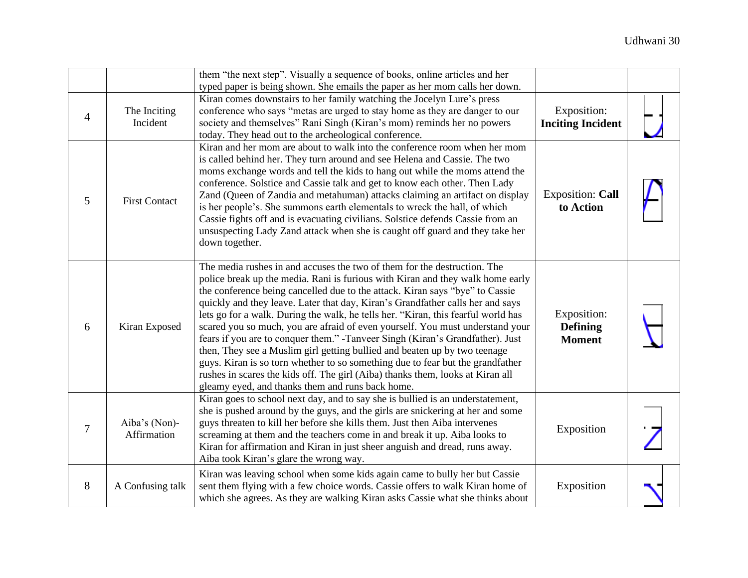|                |                              | them "the next step". Visually a sequence of books, online articles and her<br>typed paper is being shown. She emails the paper as her mom calls her down.                                                                                                                                                                                                                                                                                                                                                                                                                                                                                                                                                                                                                                                                                                                               |                                                 |  |
|----------------|------------------------------|------------------------------------------------------------------------------------------------------------------------------------------------------------------------------------------------------------------------------------------------------------------------------------------------------------------------------------------------------------------------------------------------------------------------------------------------------------------------------------------------------------------------------------------------------------------------------------------------------------------------------------------------------------------------------------------------------------------------------------------------------------------------------------------------------------------------------------------------------------------------------------------|-------------------------------------------------|--|
| $\overline{4}$ | The Inciting<br>Incident     | Kiran comes downstairs to her family watching the Jocelyn Lure's press<br>conference who says "metas are urged to stay home as they are danger to our<br>society and themselves" Rani Singh (Kiran's mom) reminds her no powers<br>today. They head out to the archeological conference.                                                                                                                                                                                                                                                                                                                                                                                                                                                                                                                                                                                                 | Exposition:<br><b>Inciting Incident</b>         |  |
| 5              | <b>First Contact</b>         | Kiran and her mom are about to walk into the conference room when her mom<br>is called behind her. They turn around and see Helena and Cassie. The two<br>moms exchange words and tell the kids to hang out while the moms attend the<br>conference. Solstice and Cassie talk and get to know each other. Then Lady<br>Zand (Queen of Zandia and metahuman) attacks claiming an artifact on display<br>is her people's. She summons earth elementals to wreck the hall, of which<br>Cassie fights off and is evacuating civilians. Solstice defends Cassie from an<br>unsuspecting Lady Zand attack when she is caught off guard and they take her<br>down together.                                                                                                                                                                                                                     | <b>Exposition: Call</b><br>to Action            |  |
| 6              | Kiran Exposed                | The media rushes in and accuses the two of them for the destruction. The<br>police break up the media. Rani is furious with Kiran and they walk home early<br>the conference being cancelled due to the attack. Kiran says "bye" to Cassie<br>quickly and they leave. Later that day, Kiran's Grandfather calls her and says<br>lets go for a walk. During the walk, he tells her. "Kiran, this fearful world has<br>scared you so much, you are afraid of even yourself. You must understand your<br>fears if you are to conquer them." -Tanveer Singh (Kiran's Grandfather). Just<br>then, They see a Muslim girl getting bullied and beaten up by two teenage<br>guys. Kiran is so torn whether to so something due to fear but the grandfather<br>rushes in scares the kids off. The girl (Aiba) thanks them, looks at Kiran all<br>gleamy eyed, and thanks them and runs back home. | Exposition:<br><b>Defining</b><br><b>Moment</b> |  |
| $\tau$         | Aiba's (Non)-<br>Affirmation | Kiran goes to school next day, and to say she is bullied is an understatement,<br>she is pushed around by the guys, and the girls are snickering at her and some<br>guys threaten to kill her before she kills them. Just then Aiba intervenes<br>screaming at them and the teachers come in and break it up. Aiba looks to<br>Kiran for affirmation and Kiran in just sheer anguish and dread, runs away.<br>Aiba took Kiran's glare the wrong way.                                                                                                                                                                                                                                                                                                                                                                                                                                     | Exposition                                      |  |
| 8              | A Confusing talk             | Kiran was leaving school when some kids again came to bully her but Cassie<br>sent them flying with a few choice words. Cassie offers to walk Kiran home of<br>which she agrees. As they are walking Kiran asks Cassie what she thinks about                                                                                                                                                                                                                                                                                                                                                                                                                                                                                                                                                                                                                                             | Exposition                                      |  |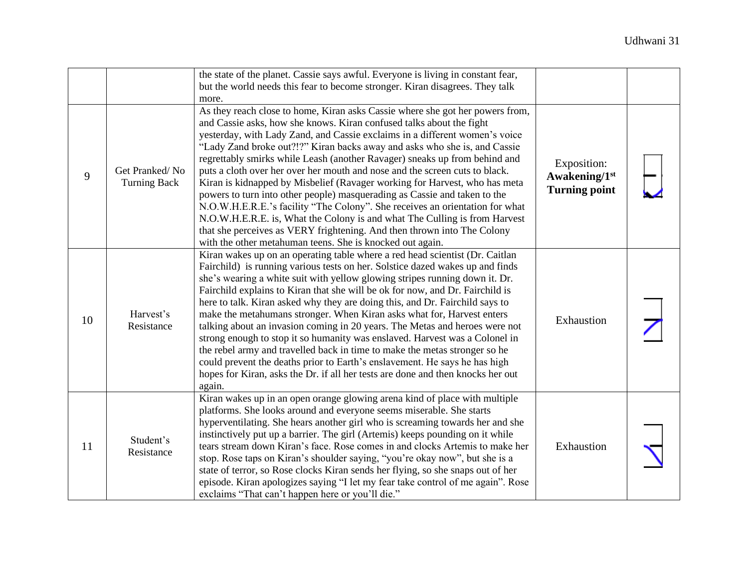|    |                                       | the state of the planet. Cassie says awful. Everyone is living in constant fear,<br>but the world needs this fear to become stronger. Kiran disagrees. They talk<br>more.                                                                                                                                                                                                                                                                                                                                                                                                                                                                                                                                                                                                                                                                                                                                                                       |                                                      |  |
|----|---------------------------------------|-------------------------------------------------------------------------------------------------------------------------------------------------------------------------------------------------------------------------------------------------------------------------------------------------------------------------------------------------------------------------------------------------------------------------------------------------------------------------------------------------------------------------------------------------------------------------------------------------------------------------------------------------------------------------------------------------------------------------------------------------------------------------------------------------------------------------------------------------------------------------------------------------------------------------------------------------|------------------------------------------------------|--|
| 9  | Get Pranked/No<br><b>Turning Back</b> | As they reach close to home, Kiran asks Cassie where she got her powers from,<br>and Cassie asks, how she knows. Kiran confused talks about the fight<br>yesterday, with Lady Zand, and Cassie exclaims in a different women's voice<br>"Lady Zand broke out?!?" Kiran backs away and asks who she is, and Cassie<br>regrettably smirks while Leash (another Ravager) sneaks up from behind and<br>puts a cloth over her over her mouth and nose and the screen cuts to black.<br>Kiran is kidnapped by Misbelief (Ravager working for Harvest, who has meta<br>powers to turn into other people) masquerading as Cassie and taken to the<br>N.O.W.H.E.R.E.'s facility "The Colony". She receives an orientation for what<br>N.O.W.H.E.R.E. is, What the Colony is and what The Culling is from Harvest<br>that she perceives as VERY frightening. And then thrown into The Colony<br>with the other metahuman teens. She is knocked out again. | Exposition:<br>Awakening/1st<br><b>Turning point</b> |  |
| 10 | Harvest's<br>Resistance               | Kiran wakes up on an operating table where a red head scientist (Dr. Caitlan<br>Fairchild) is running various tests on her. Solstice dazed wakes up and finds<br>she's wearing a white suit with yellow glowing stripes running down it. Dr.<br>Fairchild explains to Kiran that she will be ok for now, and Dr. Fairchild is<br>here to talk. Kiran asked why they are doing this, and Dr. Fairchild says to<br>make the metahumans stronger. When Kiran asks what for, Harvest enters<br>talking about an invasion coming in 20 years. The Metas and heroes were not<br>strong enough to stop it so humanity was enslaved. Harvest was a Colonel in<br>the rebel army and travelled back in time to make the metas stronger so he<br>could prevent the deaths prior to Earth's enslavement. He says he has high<br>hopes for Kiran, asks the Dr. if all her tests are done and then knocks her out<br>again.                                  | Exhaustion                                           |  |
| 11 | Student's<br>Resistance               | Kiran wakes up in an open orange glowing arena kind of place with multiple<br>platforms. She looks around and everyone seems miserable. She starts<br>hyperventilating. She hears another girl who is screaming towards her and she<br>instinctively put up a barrier. The girl (Artemis) keeps pounding on it while<br>tears stream down Kiran's face. Rose comes in and clocks Artemis to make her<br>stop. Rose taps on Kiran's shoulder saying, "you're okay now", but she is a<br>state of terror, so Rose clocks Kiran sends her flying, so she snaps out of her<br>episode. Kiran apologizes saying "I let my fear take control of me again". Rose<br>exclaims "That can't happen here or you'll die."                                                                                                                                                                                                                                   | Exhaustion                                           |  |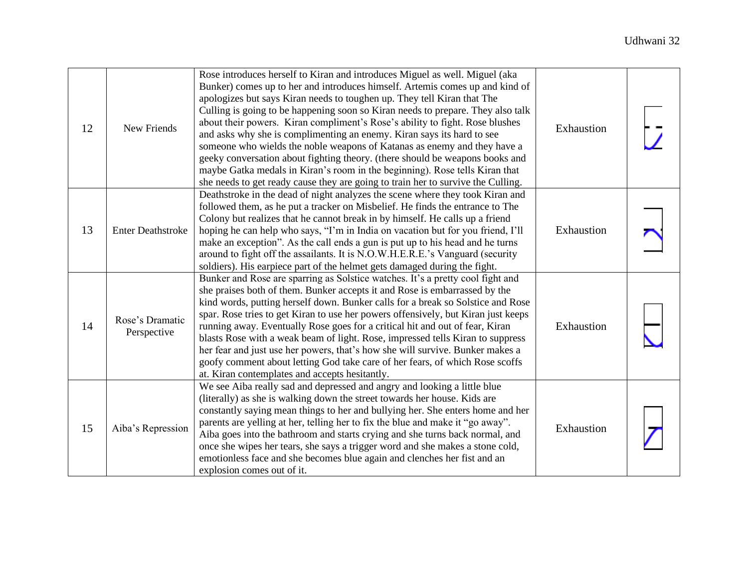| 12 | New Friends                    | Rose introduces herself to Kiran and introduces Miguel as well. Miguel (aka<br>Bunker) comes up to her and introduces himself. Artemis comes up and kind of<br>apologizes but says Kiran needs to toughen up. They tell Kiran that The<br>Culling is going to be happening soon so Kiran needs to prepare. They also talk<br>about their powers. Kiran compliment's Rose's ability to fight. Rose blushes<br>and asks why she is complimenting an enemy. Kiran says its hard to see<br>someone who wields the noble weapons of Katanas as enemy and they have a<br>geeky conversation about fighting theory. (there should be weapons books and<br>maybe Gatka medals in Kiran's room in the beginning). Rose tells Kiran that<br>she needs to get ready cause they are going to train her to survive the Culling. | Exhaustion |  |
|----|--------------------------------|--------------------------------------------------------------------------------------------------------------------------------------------------------------------------------------------------------------------------------------------------------------------------------------------------------------------------------------------------------------------------------------------------------------------------------------------------------------------------------------------------------------------------------------------------------------------------------------------------------------------------------------------------------------------------------------------------------------------------------------------------------------------------------------------------------------------|------------|--|
| 13 | <b>Enter Deathstroke</b>       | Deathstroke in the dead of night analyzes the scene where they took Kiran and<br>followed them, as he put a tracker on Misbelief. He finds the entrance to The<br>Colony but realizes that he cannot break in by himself. He calls up a friend<br>hoping he can help who says, "I'm in India on vacation but for you friend, I'll<br>make an exception". As the call ends a gun is put up to his head and he turns<br>around to fight off the assailants. It is N.O.W.H.E.R.E.'s Vanguard (security<br>soldiers). His earpiece part of the helmet gets damaged during the fight.                                                                                                                                                                                                                                   | Exhaustion |  |
| 14 | Rose's Dramatic<br>Perspective | Bunker and Rose are sparring as Solstice watches. It's a pretty cool fight and<br>she praises both of them. Bunker accepts it and Rose is embarrassed by the<br>kind words, putting herself down. Bunker calls for a break so Solstice and Rose<br>spar. Rose tries to get Kiran to use her powers offensively, but Kiran just keeps<br>running away. Eventually Rose goes for a critical hit and out of fear, Kiran<br>blasts Rose with a weak beam of light. Rose, impressed tells Kiran to suppress<br>her fear and just use her powers, that's how she will survive. Bunker makes a<br>goofy comment about letting God take care of her fears, of which Rose scoffs<br>at. Kiran contemplates and accepts hesitantly.                                                                                          | Exhaustion |  |
| 15 | Aiba's Repression              | We see Aiba really sad and depressed and angry and looking a little blue<br>(literally) as she is walking down the street towards her house. Kids are<br>constantly saying mean things to her and bullying her. She enters home and her<br>parents are yelling at her, telling her to fix the blue and make it "go away".<br>Aiba goes into the bathroom and starts crying and she turns back normal, and<br>once she wipes her tears, she says a trigger word and she makes a stone cold,<br>emotionless face and she becomes blue again and clenches her fist and an<br>explosion comes out of it.                                                                                                                                                                                                               | Exhaustion |  |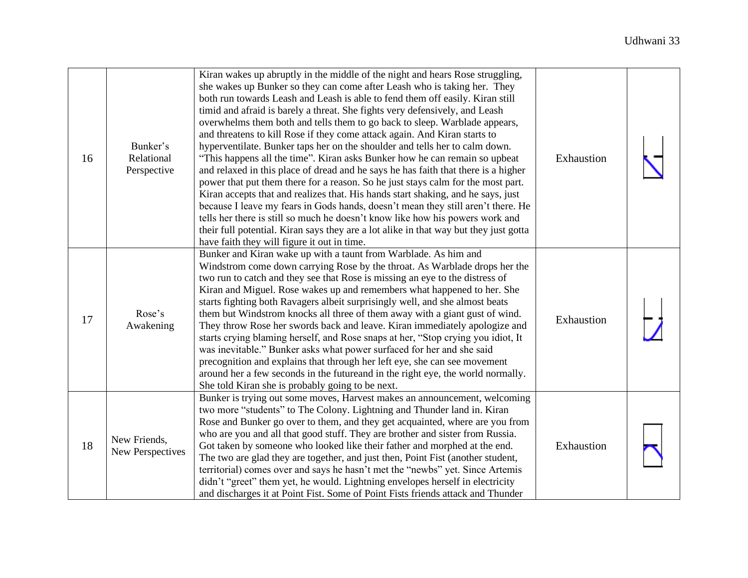| 16 | Bunker's<br>Relational<br>Perspective | Kiran wakes up abruptly in the middle of the night and hears Rose struggling,<br>she wakes up Bunker so they can come after Leash who is taking her. They<br>both run towards Leash and Leash is able to fend them off easily. Kiran still<br>timid and afraid is barely a threat. She fights very defensively, and Leash<br>overwhelms them both and tells them to go back to sleep. Warblade appears,<br>and threatens to kill Rose if they come attack again. And Kiran starts to<br>hyperventilate. Bunker taps her on the shoulder and tells her to calm down.<br>"This happens all the time". Kiran asks Bunker how he can remain so upbeat<br>and relaxed in this place of dread and he says he has faith that there is a higher<br>power that put them there for a reason. So he just stays calm for the most part.<br>Kiran accepts that and realizes that. His hands start shaking, and he says, just<br>because I leave my fears in Gods hands, doesn't mean they still aren't there. He<br>tells her there is still so much he doesn't know like how his powers work and<br>their full potential. Kiran says they are a lot alike in that way but they just gotta<br>have faith they will figure it out in time. | Exhaustion |  |
|----|---------------------------------------|------------------------------------------------------------------------------------------------------------------------------------------------------------------------------------------------------------------------------------------------------------------------------------------------------------------------------------------------------------------------------------------------------------------------------------------------------------------------------------------------------------------------------------------------------------------------------------------------------------------------------------------------------------------------------------------------------------------------------------------------------------------------------------------------------------------------------------------------------------------------------------------------------------------------------------------------------------------------------------------------------------------------------------------------------------------------------------------------------------------------------------------------------------------------------------------------------------------------------|------------|--|
| 17 | Rose's<br>Awakening                   | Bunker and Kiran wake up with a taunt from Warblade. As him and<br>Windstrom come down carrying Rose by the throat. As Warblade drops her the<br>two run to catch and they see that Rose is missing an eye to the distress of<br>Kiran and Miguel. Rose wakes up and remembers what happened to her. She<br>starts fighting both Ravagers albeit surprisingly well, and she almost beats<br>them but Windstrom knocks all three of them away with a giant gust of wind.<br>They throw Rose her swords back and leave. Kiran immediately apologize and<br>starts crying blaming herself, and Rose snaps at her, "Stop crying you idiot, It<br>was inevitable." Bunker asks what power surfaced for her and she said<br>precognition and explains that through her left eye, she can see movement<br>around her a few seconds in the futureand in the right eye, the world normally.<br>She told Kiran she is probably going to be next.                                                                                                                                                                                                                                                                                       | Exhaustion |  |
| 18 | New Friends,<br>New Perspectives      | Bunker is trying out some moves, Harvest makes an announcement, welcoming<br>two more "students" to The Colony. Lightning and Thunder land in. Kiran<br>Rose and Bunker go over to them, and they get acquainted, where are you from<br>who are you and all that good stuff. They are brother and sister from Russia.<br>Got taken by someone who looked like their father and morphed at the end.<br>The two are glad they are together, and just then, Point Fist (another student,<br>territorial) comes over and says he hasn't met the "newbs" yet. Since Artemis<br>didn't "greet" them yet, he would. Lightning envelopes herself in electricity<br>and discharges it at Point Fist. Some of Point Fists friends attack and Thunder                                                                                                                                                                                                                                                                                                                                                                                                                                                                                   | Exhaustion |  |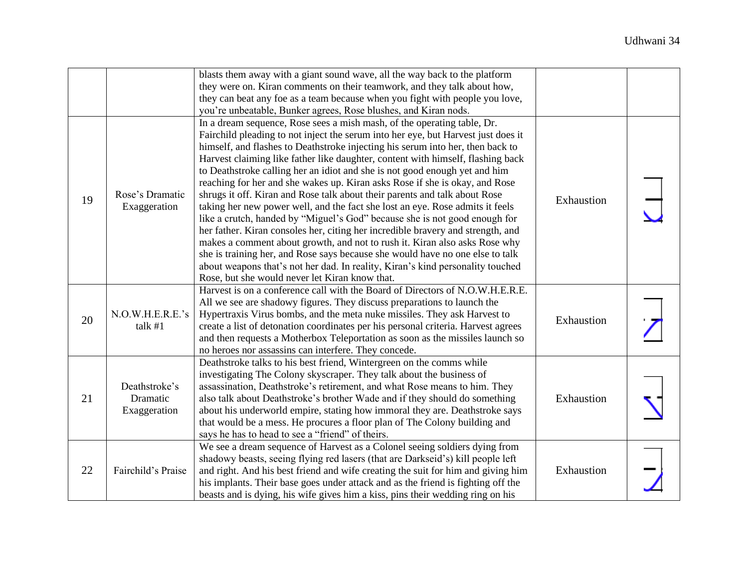|    |                                           | blasts them away with a giant sound wave, all the way back to the platform<br>they were on. Kiran comments on their teamwork, and they talk about how,<br>they can beat any foe as a team because when you fight with people you love,<br>you're unbeatable, Bunker agrees, Rose blushes, and Kiran nods.                                                                                                                                                                                                                                                                                                                                                                                                                                                                                                                                                                                                                                                                                                                                                                                                                         |            |  |
|----|-------------------------------------------|-----------------------------------------------------------------------------------------------------------------------------------------------------------------------------------------------------------------------------------------------------------------------------------------------------------------------------------------------------------------------------------------------------------------------------------------------------------------------------------------------------------------------------------------------------------------------------------------------------------------------------------------------------------------------------------------------------------------------------------------------------------------------------------------------------------------------------------------------------------------------------------------------------------------------------------------------------------------------------------------------------------------------------------------------------------------------------------------------------------------------------------|------------|--|
| 19 | Rose's Dramatic<br>Exaggeration           | In a dream sequence, Rose sees a mish mash, of the operating table, Dr.<br>Fairchild pleading to not inject the serum into her eye, but Harvest just does it<br>himself, and flashes to Deathstroke injecting his serum into her, then back to<br>Harvest claiming like father like daughter, content with himself, flashing back<br>to Deathstroke calling her an idiot and she is not good enough yet and him<br>reaching for her and she wakes up. Kiran asks Rose if she is okay, and Rose<br>shrugs it off. Kiran and Rose talk about their parents and talk about Rose<br>taking her new power well, and the fact she lost an eye. Rose admits it feels<br>like a crutch, handed by "Miguel's God" because she is not good enough for<br>her father. Kiran consoles her, citing her incredible bravery and strength, and<br>makes a comment about growth, and not to rush it. Kiran also asks Rose why<br>she is training her, and Rose says because she would have no one else to talk<br>about weapons that's not her dad. In reality, Kiran's kind personality touched<br>Rose, but she would never let Kiran know that. | Exhaustion |  |
| 20 | N.O.W.H.E.R.E.'s<br>talk #1               | Harvest is on a conference call with the Board of Directors of N.O.W.H.E.R.E.<br>All we see are shadowy figures. They discuss preparations to launch the<br>Hypertraxis Virus bombs, and the meta nuke missiles. They ask Harvest to<br>create a list of detonation coordinates per his personal criteria. Harvest agrees<br>and then requests a Motherbox Teleportation as soon as the missiles launch so<br>no heroes nor assassins can interfere. They concede.                                                                                                                                                                                                                                                                                                                                                                                                                                                                                                                                                                                                                                                                | Exhaustion |  |
| 21 | Deathstroke's<br>Dramatic<br>Exaggeration | Deathstroke talks to his best friend, Wintergreen on the comms while<br>investigating The Colony skyscraper. They talk about the business of<br>assassination, Deathstroke's retirement, and what Rose means to him. They<br>also talk about Deathstroke's brother Wade and if they should do something<br>about his underworld empire, stating how immoral they are. Deathstroke says<br>that would be a mess. He procures a floor plan of The Colony building and<br>says he has to head to see a "friend" of theirs.                                                                                                                                                                                                                                                                                                                                                                                                                                                                                                                                                                                                           | Exhaustion |  |
| 22 | Fairchild's Praise                        | We see a dream sequence of Harvest as a Colonel seeing soldiers dying from<br>shadowy beasts, seeing flying red lasers (that are Darkseid's) kill people left<br>and right. And his best friend and wife creating the suit for him and giving him<br>his implants. Their base goes under attack and as the friend is fighting off the<br>beasts and is dying, his wife gives him a kiss, pins their wedding ring on his                                                                                                                                                                                                                                                                                                                                                                                                                                                                                                                                                                                                                                                                                                           | Exhaustion |  |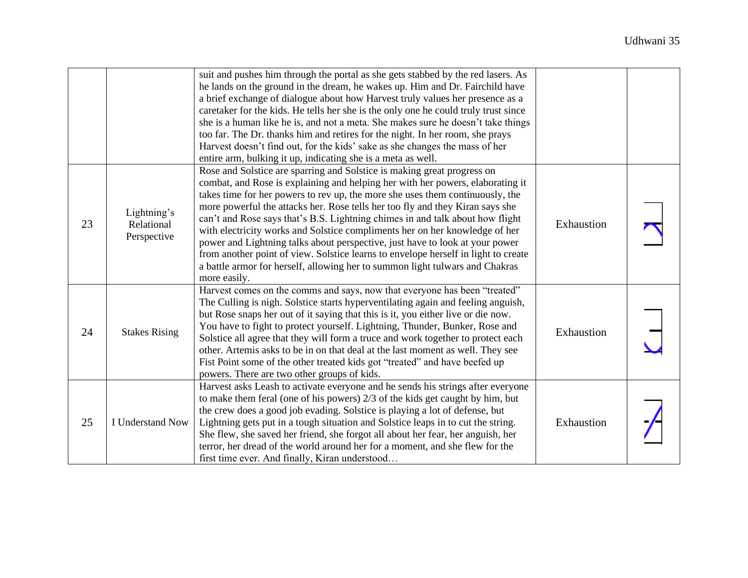|    |                                          | suit and pushes him through the portal as she gets stabbed by the red lasers. As<br>he lands on the ground in the dream, he wakes up. Him and Dr. Fairchild have<br>a brief exchange of dialogue about how Harvest truly values her presence as a<br>caretaker for the kids. He tells her she is the only one he could truly trust since<br>she is a human like he is, and not a meta. She makes sure he doesn't take things<br>too far. The Dr. thanks him and retires for the night. In her room, she prays<br>Harvest doesn't find out, for the kids' sake as she changes the mass of her                                                                                                                                                                      |            |  |
|----|------------------------------------------|-------------------------------------------------------------------------------------------------------------------------------------------------------------------------------------------------------------------------------------------------------------------------------------------------------------------------------------------------------------------------------------------------------------------------------------------------------------------------------------------------------------------------------------------------------------------------------------------------------------------------------------------------------------------------------------------------------------------------------------------------------------------|------------|--|
|    |                                          | entire arm, bulking it up, indicating she is a meta as well.                                                                                                                                                                                                                                                                                                                                                                                                                                                                                                                                                                                                                                                                                                      |            |  |
| 23 | Lightning's<br>Relational<br>Perspective | Rose and Solstice are sparring and Solstice is making great progress on<br>combat, and Rose is explaining and helping her with her powers, elaborating it<br>takes time for her powers to rev up, the more she uses them continuously, the<br>more powerful the attacks her. Rose tells her too fly and they Kiran says she<br>can't and Rose says that's B.S. Lightning chimes in and talk about how flight<br>with electricity works and Solstice compliments her on her knowledge of her<br>power and Lightning talks about perspective, just have to look at your power<br>from another point of view. Solstice learns to envelope herself in light to create<br>a battle armor for herself, allowing her to summon light tulwars and Chakras<br>more easily. | Exhaustion |  |
| 24 | <b>Stakes Rising</b>                     | Harvest comes on the comms and says, now that everyone has been "treated"<br>The Culling is nigh. Solstice starts hyperventilating again and feeling anguish,<br>but Rose snaps her out of it saying that this is it, you either live or die now.<br>You have to fight to protect yourself. Lightning, Thunder, Bunker, Rose and<br>Solstice all agree that they will form a truce and work together to protect each<br>other. Artemis asks to be in on that deal at the last moment as well. They see<br>Fist Point some of the other treated kids got "treated" and have beefed up<br>powers. There are two other groups of kids.                                                                                                                               | Exhaustion |  |
| 25 | I Understand Now                         | Harvest asks Leash to activate everyone and he sends his strings after everyone<br>to make them feral (one of his powers) 2/3 of the kids get caught by him, but<br>the crew does a good job evading. Solstice is playing a lot of defense, but<br>Lightning gets put in a tough situation and Solstice leaps in to cut the string.<br>She flew, she saved her friend, she forgot all about her fear, her anguish, her<br>terror, her dread of the world around her for a moment, and she flew for the<br>first time ever. And finally, Kiran understood                                                                                                                                                                                                          | Exhaustion |  |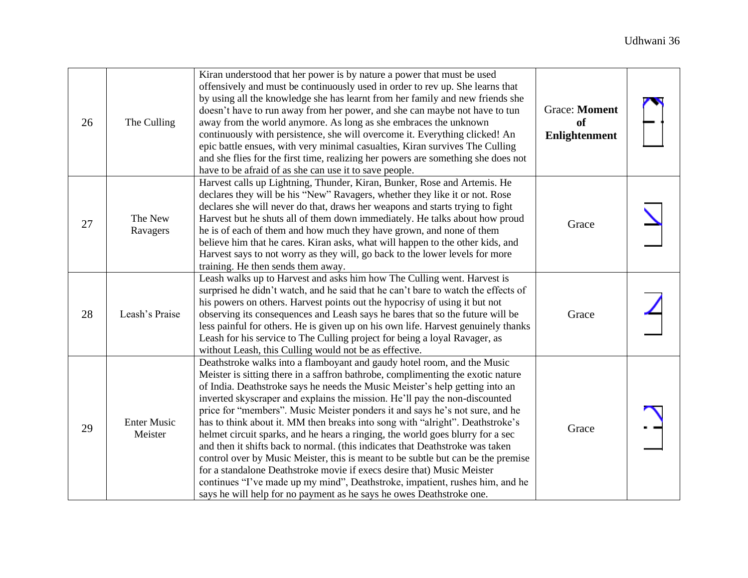| 26 | The Culling                   | Kiran understood that her power is by nature a power that must be used<br>offensively and must be continuously used in order to rev up. She learns that<br>by using all the knowledge she has learnt from her family and new friends she<br>doesn't have to run away from her power, and she can maybe not have to tun<br>away from the world anymore. As long as she embraces the unknown<br>continuously with persistence, she will overcome it. Everything clicked! An<br>epic battle ensues, with very minimal casualties, Kiran survives The Culling<br>and she flies for the first time, realizing her powers are something she does not<br>have to be afraid of as she can use it to save people.                                                                                                                                                                                                                                                                           | <b>Grace: Moment</b><br><b>of</b><br>Enlightenment |  |
|----|-------------------------------|------------------------------------------------------------------------------------------------------------------------------------------------------------------------------------------------------------------------------------------------------------------------------------------------------------------------------------------------------------------------------------------------------------------------------------------------------------------------------------------------------------------------------------------------------------------------------------------------------------------------------------------------------------------------------------------------------------------------------------------------------------------------------------------------------------------------------------------------------------------------------------------------------------------------------------------------------------------------------------|----------------------------------------------------|--|
| 27 | The New<br>Ravagers           | Harvest calls up Lightning, Thunder, Kiran, Bunker, Rose and Artemis. He<br>declares they will be his "New" Ravagers, whether they like it or not. Rose<br>declares she will never do that, draws her weapons and starts trying to fight<br>Harvest but he shuts all of them down immediately. He talks about how proud<br>he is of each of them and how much they have grown, and none of them<br>believe him that he cares. Kiran asks, what will happen to the other kids, and<br>Harvest says to not worry as they will, go back to the lower levels for more<br>training. He then sends them away.                                                                                                                                                                                                                                                                                                                                                                            | Grace                                              |  |
| 28 | Leash's Praise                | Leash walks up to Harvest and asks him how The Culling went. Harvest is<br>surprised he didn't watch, and he said that he can't bare to watch the effects of<br>his powers on others. Harvest points out the hypocrisy of using it but not<br>observing its consequences and Leash says he bares that so the future will be<br>less painful for others. He is given up on his own life. Harvest genuinely thanks<br>Leash for his service to The Culling project for being a loyal Ravager, as<br>without Leash, this Culling would not be as effective.                                                                                                                                                                                                                                                                                                                                                                                                                           | Grace                                              |  |
| 29 | <b>Enter Music</b><br>Meister | Deathstroke walks into a flamboyant and gaudy hotel room, and the Music<br>Meister is sitting there in a saffron bathrobe, complimenting the exotic nature<br>of India. Deathstroke says he needs the Music Meister's help getting into an<br>inverted skyscraper and explains the mission. He'll pay the non-discounted<br>price for "members". Music Meister ponders it and says he's not sure, and he<br>has to think about it. MM then breaks into song with "alright". Deathstroke's<br>helmet circuit sparks, and he hears a ringing, the world goes blurry for a sec<br>and then it shifts back to normal. (this indicates that Deathstroke was taken<br>control over by Music Meister, this is meant to be subtle but can be the premise<br>for a standalone Deathstroke movie if execs desire that) Music Meister<br>continues "I've made up my mind", Deathstroke, impatient, rushes him, and he<br>says he will help for no payment as he says he owes Deathstroke one. | Grace                                              |  |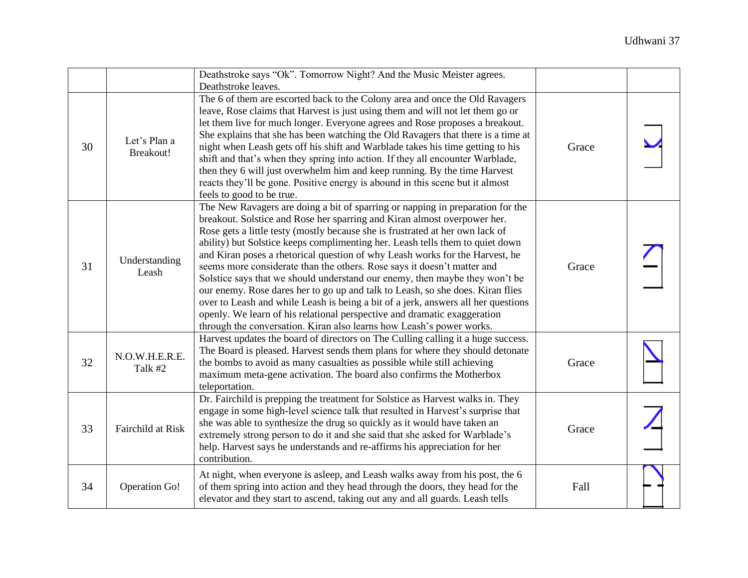|    |                           | Deathstroke says "Ok". Tomorrow Night? And the Music Meister agrees.<br>Deathstroke leaves.                                                                                                                                                                                                                                                                                                                                                                                                                                                                                                                                                                                                                                                                                                                                                                                                       |       |  |
|----|---------------------------|---------------------------------------------------------------------------------------------------------------------------------------------------------------------------------------------------------------------------------------------------------------------------------------------------------------------------------------------------------------------------------------------------------------------------------------------------------------------------------------------------------------------------------------------------------------------------------------------------------------------------------------------------------------------------------------------------------------------------------------------------------------------------------------------------------------------------------------------------------------------------------------------------|-------|--|
| 30 | Let's Plan a<br>Breakout! | The 6 of them are escorted back to the Colony area and once the Old Ravagers<br>leave, Rose claims that Harvest is just using them and will not let them go or<br>let them live for much longer. Everyone agrees and Rose proposes a breakout.<br>She explains that she has been watching the Old Ravagers that there is a time at<br>night when Leash gets off his shift and Warblade takes his time getting to his<br>shift and that's when they spring into action. If they all encounter Warblade,<br>then they 6 will just overwhelm him and keep running. By the time Harvest<br>reacts they'll be gone. Positive energy is abound in this scene but it almost<br>feels to good to be true.                                                                                                                                                                                                 | Grace |  |
| 31 | Understanding<br>Leash    | The New Ravagers are doing a bit of sparring or napping in preparation for the<br>breakout. Solstice and Rose her sparring and Kiran almost overpower her.<br>Rose gets a little testy (mostly because she is frustrated at her own lack of<br>ability) but Solstice keeps complimenting her. Leash tells them to quiet down<br>and Kiran poses a rhetorical question of why Leash works for the Harvest, he<br>seems more considerate than the others. Rose says it doesn't matter and<br>Solstice says that we should understand our enemy, then maybe they won't be<br>our enemy. Rose dares her to go up and talk to Leash, so she does. Kiran flies<br>over to Leash and while Leash is being a bit of a jerk, answers all her questions<br>openly. We learn of his relational perspective and dramatic exaggeration<br>through the conversation. Kiran also learns how Leash's power works. | Grace |  |
| 32 | N.O.W.H.E.R.E.<br>Talk #2 | Harvest updates the board of directors on The Culling calling it a huge success.<br>The Board is pleased. Harvest sends them plans for where they should detonate<br>the bombs to avoid as many casualties as possible while still achieving<br>maximum meta-gene activation. The board also confirms the Motherbox<br>teleportation.                                                                                                                                                                                                                                                                                                                                                                                                                                                                                                                                                             | Grace |  |
| 33 | Fairchild at Risk         | Dr. Fairchild is prepping the treatment for Solstice as Harvest walks in. They<br>engage in some high-level science talk that resulted in Harvest's surprise that<br>she was able to synthesize the drug so quickly as it would have taken an<br>extremely strong person to do it and she said that she asked for Warblade's<br>help. Harvest says he understands and re-affirms his appreciation for her<br>contribution.                                                                                                                                                                                                                                                                                                                                                                                                                                                                        | Grace |  |
| 34 | Operation Go!             | At night, when everyone is asleep, and Leash walks away from his post, the 6<br>of them spring into action and they head through the doors, they head for the<br>elevator and they start to ascend, taking out any and all guards. Leash tells                                                                                                                                                                                                                                                                                                                                                                                                                                                                                                                                                                                                                                                    | Fall  |  |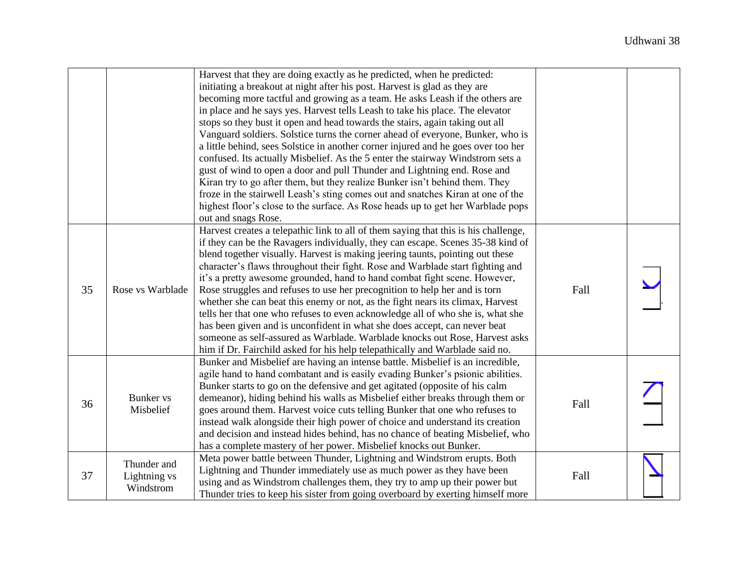|    |                                          | Harvest that they are doing exactly as he predicted, when he predicted:<br>initiating a breakout at night after his post. Harvest is glad as they are<br>becoming more tactful and growing as a team. He asks Leash if the others are<br>in place and he says yes. Harvest tells Leash to take his place. The elevator<br>stops so they bust it open and head towards the stairs, again taking out all<br>Vanguard soldiers. Solstice turns the corner ahead of everyone, Bunker, who is<br>a little behind, sees Solstice in another corner injured and he goes over too her<br>confused. Its actually Misbelief. As the 5 enter the stairway Windstrom sets a<br>gust of wind to open a door and pull Thunder and Lightning end. Rose and<br>Kiran try to go after them, but they realize Bunker isn't behind them. They<br>froze in the stairwell Leash's sting comes out and snatches Kiran at one of the<br>highest floor's close to the surface. As Rose heads up to get her Warblade pops<br>out and snags Rose. |      |  |
|----|------------------------------------------|-------------------------------------------------------------------------------------------------------------------------------------------------------------------------------------------------------------------------------------------------------------------------------------------------------------------------------------------------------------------------------------------------------------------------------------------------------------------------------------------------------------------------------------------------------------------------------------------------------------------------------------------------------------------------------------------------------------------------------------------------------------------------------------------------------------------------------------------------------------------------------------------------------------------------------------------------------------------------------------------------------------------------|------|--|
| 35 | Rose vs Warblade                         | Harvest creates a telepathic link to all of them saying that this is his challenge,<br>if they can be the Ravagers individually, they can escape. Scenes 35-38 kind of<br>blend together visually. Harvest is making jeering taunts, pointing out these<br>character's flaws throughout their fight. Rose and Warblade start fighting and<br>it's a pretty awesome grounded, hand to hand combat fight scene. However,<br>Rose struggles and refuses to use her precognition to help her and is torn<br>whether she can beat this enemy or not, as the fight nears its climax, Harvest<br>tells her that one who refuses to even acknowledge all of who she is, what she<br>has been given and is unconfident in what she does accept, can never beat<br>someone as self-assured as Warblade. Warblade knocks out Rose, Harvest asks<br>him if Dr. Fairchild asked for his help telepathically and Warblade said no.                                                                                                    | Fall |  |
| 36 | <b>Bunker</b> vs<br>Misbelief            | Bunker and Misbelief are having an intense battle. Misbelief is an incredible,<br>agile hand to hand combatant and is easily evading Bunker's psionic abilities.<br>Bunker starts to go on the defensive and get agitated (opposite of his calm<br>demeanor), hiding behind his walls as Misbelief either breaks through them or<br>goes around them. Harvest voice cuts telling Bunker that one who refuses to<br>instead walk alongside their high power of choice and understand its creation<br>and decision and instead hides behind, has no chance of beating Misbelief, who<br>has a complete mastery of her power. Misbelief knocks out Bunker.                                                                                                                                                                                                                                                                                                                                                                 | Fall |  |
| 37 | Thunder and<br>Lightning vs<br>Windstrom | Meta power battle between Thunder, Lightning and Windstrom erupts. Both<br>Lightning and Thunder immediately use as much power as they have been<br>using and as Windstrom challenges them, they try to amp up their power but<br>Thunder tries to keep his sister from going overboard by exerting himself more                                                                                                                                                                                                                                                                                                                                                                                                                                                                                                                                                                                                                                                                                                        | Fall |  |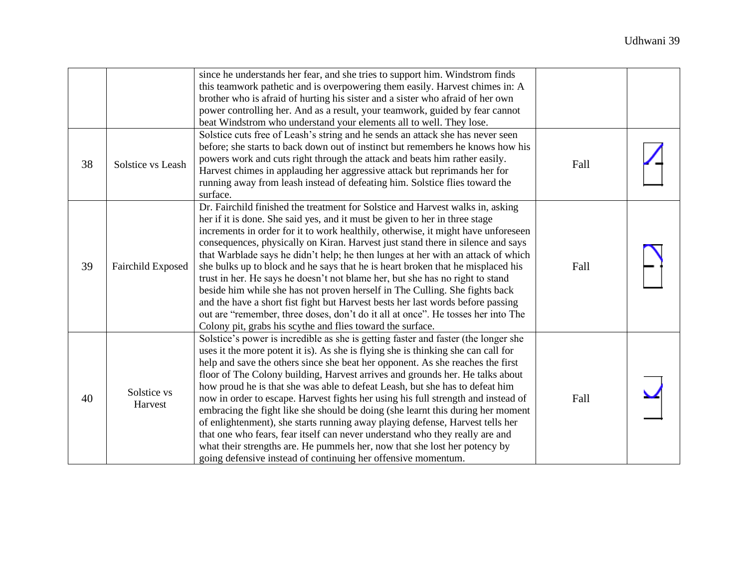|    |                        | since he understands her fear, and she tries to support him. Windstrom finds<br>this teamwork pathetic and is overpowering them easily. Harvest chimes in: A<br>brother who is afraid of hurting his sister and a sister who afraid of her own<br>power controlling her. And as a result, your teamwork, guided by fear cannot<br>beat Windstrom who understand your elements all to well. They lose.                                                                                                                                                                                                                                                                                                                                                                                                                                                                                                              |      |  |
|----|------------------------|--------------------------------------------------------------------------------------------------------------------------------------------------------------------------------------------------------------------------------------------------------------------------------------------------------------------------------------------------------------------------------------------------------------------------------------------------------------------------------------------------------------------------------------------------------------------------------------------------------------------------------------------------------------------------------------------------------------------------------------------------------------------------------------------------------------------------------------------------------------------------------------------------------------------|------|--|
| 38 | Solstice vs Leash      | Solstice cuts free of Leash's string and he sends an attack she has never seen<br>before; she starts to back down out of instinct but remembers he knows how his<br>powers work and cuts right through the attack and beats him rather easily.<br>Harvest chimes in applauding her aggressive attack but reprimands her for<br>running away from leash instead of defeating him. Solstice flies toward the<br>surface.                                                                                                                                                                                                                                                                                                                                                                                                                                                                                             | Fall |  |
| 39 | Fairchild Exposed      | Dr. Fairchild finished the treatment for Solstice and Harvest walks in, asking<br>her if it is done. She said yes, and it must be given to her in three stage<br>increments in order for it to work healthily, otherwise, it might have unforeseen<br>consequences, physically on Kiran. Harvest just stand there in silence and says<br>that Warblade says he didn't help; he then lunges at her with an attack of which<br>she bulks up to block and he says that he is heart broken that he misplaced his<br>trust in her. He says he doesn't not blame her, but she has no right to stand<br>beside him while she has not proven herself in The Culling. She fights back<br>and the have a short fist fight but Harvest bests her last words before passing<br>out are "remember, three doses, don't do it all at once". He tosses her into The<br>Colony pit, grabs his scythe and flies toward the surface.  | Fall |  |
| 40 | Solstice vs<br>Harvest | Solstice's power is incredible as she is getting faster and faster (the longer she<br>uses it the more potent it is). As she is flying she is thinking she can call for<br>help and save the others since she beat her opponent. As she reaches the first<br>floor of The Colony building, Harvest arrives and grounds her. He talks about<br>how proud he is that she was able to defeat Leash, but she has to defeat him<br>now in order to escape. Harvest fights her using his full strength and instead of<br>embracing the fight like she should be doing (she learnt this during her moment<br>of enlightenment), she starts running away playing defense, Harvest tells her<br>that one who fears, fear itself can never understand who they really are and<br>what their strengths are. He pummels her, now that she lost her potency by<br>going defensive instead of continuing her offensive momentum. | Fall |  |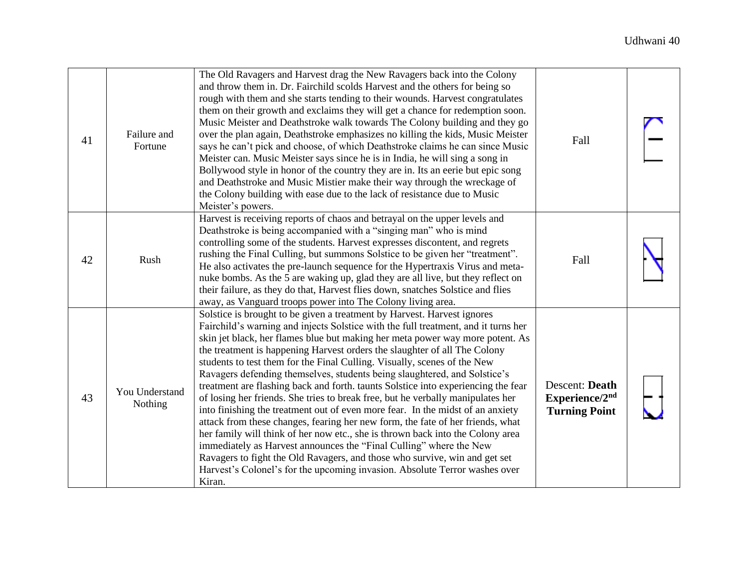| 41 | Failure and<br>Fortune    | The Old Ravagers and Harvest drag the New Ravagers back into the Colony<br>and throw them in. Dr. Fairchild scolds Harvest and the others for being so<br>rough with them and she starts tending to their wounds. Harvest congratulates<br>them on their growth and exclaims they will get a chance for redemption soon.<br>Music Meister and Deathstroke walk towards The Colony building and they go<br>over the plan again, Deathstroke emphasizes no killing the kids, Music Meister<br>says he can't pick and choose, of which Deathstroke claims he can since Music<br>Meister can. Music Meister says since he is in India, he will sing a song in<br>Bollywood style in honor of the country they are in. Its an eerie but epic song<br>and Deathstroke and Music Mistier make their way through the wreckage of<br>the Colony building with ease due to the lack of resistance due to Music<br>Meister's powers.                                                                                                                                                                                                                                      | Fall                                                     |  |
|----|---------------------------|----------------------------------------------------------------------------------------------------------------------------------------------------------------------------------------------------------------------------------------------------------------------------------------------------------------------------------------------------------------------------------------------------------------------------------------------------------------------------------------------------------------------------------------------------------------------------------------------------------------------------------------------------------------------------------------------------------------------------------------------------------------------------------------------------------------------------------------------------------------------------------------------------------------------------------------------------------------------------------------------------------------------------------------------------------------------------------------------------------------------------------------------------------------|----------------------------------------------------------|--|
| 42 | Rush                      | Harvest is receiving reports of chaos and betrayal on the upper levels and<br>Deathstroke is being accompanied with a "singing man" who is mind<br>controlling some of the students. Harvest expresses discontent, and regrets<br>rushing the Final Culling, but summons Solstice to be given her "treatment".<br>He also activates the pre-launch sequence for the Hypertraxis Virus and meta-<br>nuke bombs. As the 5 are waking up, glad they are all live, but they reflect on<br>their failure, as they do that, Harvest flies down, snatches Solstice and flies<br>away, as Vanguard troops power into The Colony living area.                                                                                                                                                                                                                                                                                                                                                                                                                                                                                                                           | Fall                                                     |  |
| 43 | You Understand<br>Nothing | Solstice is brought to be given a treatment by Harvest. Harvest ignores<br>Fairchild's warning and injects Solstice with the full treatment, and it turns her<br>skin jet black, her flames blue but making her meta power way more potent. As<br>the treatment is happening Harvest orders the slaughter of all The Colony<br>students to test them for the Final Culling. Visually, scenes of the New<br>Ravagers defending themselves, students being slaughtered, and Solstice's<br>treatment are flashing back and forth. taunts Solstice into experiencing the fear<br>of losing her friends. She tries to break free, but he verbally manipulates her<br>into finishing the treatment out of even more fear. In the midst of an anxiety<br>attack from these changes, fearing her new form, the fate of her friends, what<br>her family will think of her now etc., she is thrown back into the Colony area<br>immediately as Harvest announces the "Final Culling" where the New<br>Ravagers to fight the Old Ravagers, and those who survive, win and get set<br>Harvest's Colonel's for the upcoming invasion. Absolute Terror washes over<br>Kiran. | Descent: Death<br>Experience/2nd<br><b>Turning Point</b> |  |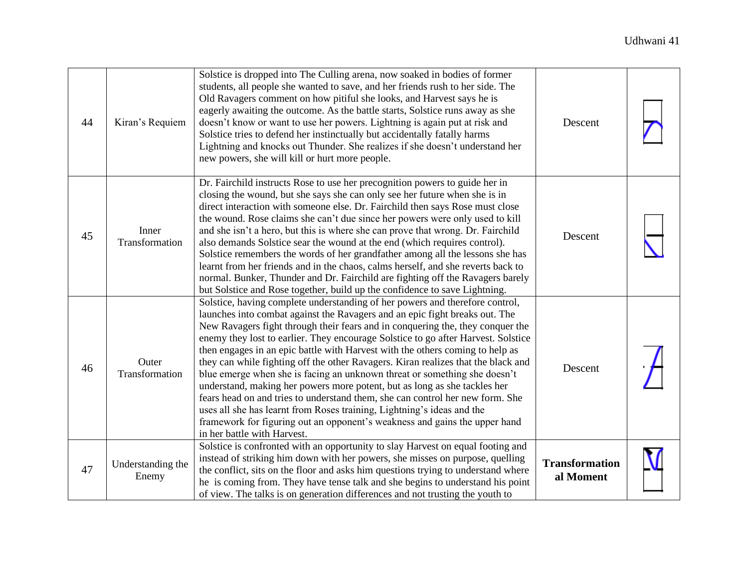| 44 | Kiran's Requiem            | Solstice is dropped into The Culling arena, now soaked in bodies of former<br>students, all people she wanted to save, and her friends rush to her side. The<br>Old Ravagers comment on how pitiful she looks, and Harvest says he is<br>eagerly awaiting the outcome. As the battle starts, Solstice runs away as she<br>doesn't know or want to use her powers. Lightning is again put at risk and<br>Solstice tries to defend her instinctually but accidentally fatally harms<br>Lightning and knocks out Thunder. She realizes if she doesn't understand her<br>new powers, she will kill or hurt more people.                                                                                                                                                                                                                                                                                                                        | Descent                            |  |
|----|----------------------------|--------------------------------------------------------------------------------------------------------------------------------------------------------------------------------------------------------------------------------------------------------------------------------------------------------------------------------------------------------------------------------------------------------------------------------------------------------------------------------------------------------------------------------------------------------------------------------------------------------------------------------------------------------------------------------------------------------------------------------------------------------------------------------------------------------------------------------------------------------------------------------------------------------------------------------------------|------------------------------------|--|
| 45 | Inner<br>Transformation    | Dr. Fairchild instructs Rose to use her precognition powers to guide her in<br>closing the wound, but she says she can only see her future when she is in<br>direct interaction with someone else. Dr. Fairchild then says Rose must close<br>the wound. Rose claims she can't due since her powers were only used to kill<br>and she isn't a hero, but this is where she can prove that wrong. Dr. Fairchild<br>also demands Solstice sear the wound at the end (which requires control).<br>Solstice remembers the words of her grandfather among all the lessons she has<br>learnt from her friends and in the chaos, calms herself, and she reverts back to<br>normal. Bunker, Thunder and Dr. Fairchild are fighting off the Ravagers barely<br>but Solstice and Rose together, build up the confidence to save Lightning.                                                                                                            | Descent                            |  |
| 46 | Outer<br>Transformation    | Solstice, having complete understanding of her powers and therefore control,<br>launches into combat against the Ravagers and an epic fight breaks out. The<br>New Ravagers fight through their fears and in conquering the, they conquer the<br>enemy they lost to earlier. They encourage Solstice to go after Harvest. Solstice<br>then engages in an epic battle with Harvest with the others coming to help as<br>they can while fighting off the other Ravagers. Kiran realizes that the black and<br>blue emerge when she is facing an unknown threat or something she doesn't<br>understand, making her powers more potent, but as long as she tackles her<br>fears head on and tries to understand them, she can control her new form. She<br>uses all she has learnt from Roses training, Lightning's ideas and the<br>framework for figuring out an opponent's weakness and gains the upper hand<br>in her battle with Harvest. | Descent                            |  |
| 47 | Understanding the<br>Enemy | Solstice is confronted with an opportunity to slay Harvest on equal footing and<br>instead of striking him down with her powers, she misses on purpose, quelling<br>the conflict, sits on the floor and asks him questions trying to understand where<br>he is coming from. They have tense talk and she begins to understand his point<br>of view. The talks is on generation differences and not trusting the youth to                                                                                                                                                                                                                                                                                                                                                                                                                                                                                                                   | <b>Transformation</b><br>al Moment |  |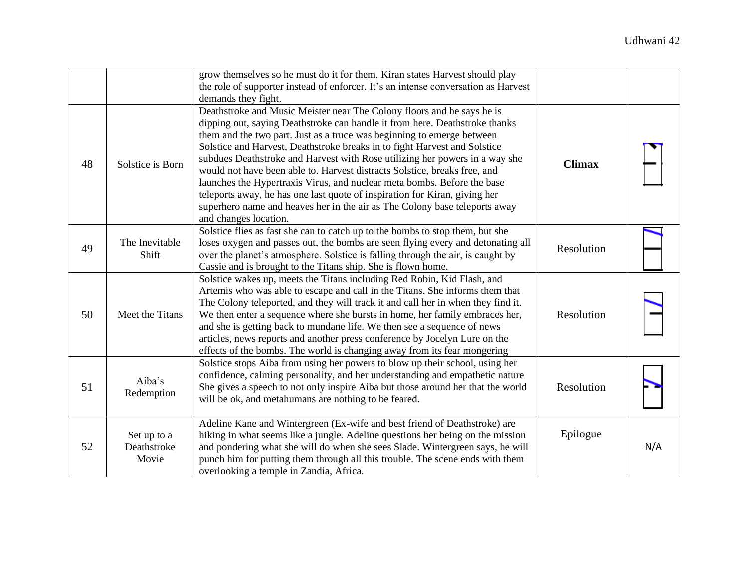|    |                                     | grow themselves so he must do it for them. Kiran states Harvest should play<br>the role of supporter instead of enforcer. It's an intense conversation as Harvest<br>demands they fight.                                                                                                                                                                                                                                                                                                                                                                                                                                                                                                                                                 |               |     |
|----|-------------------------------------|------------------------------------------------------------------------------------------------------------------------------------------------------------------------------------------------------------------------------------------------------------------------------------------------------------------------------------------------------------------------------------------------------------------------------------------------------------------------------------------------------------------------------------------------------------------------------------------------------------------------------------------------------------------------------------------------------------------------------------------|---------------|-----|
| 48 | Solstice is Born                    | Deathstroke and Music Meister near The Colony floors and he says he is<br>dipping out, saying Deathstroke can handle it from here. Deathstroke thanks<br>them and the two part. Just as a truce was beginning to emerge between<br>Solstice and Harvest, Deathstroke breaks in to fight Harvest and Solstice<br>subdues Deathstroke and Harvest with Rose utilizing her powers in a way she<br>would not have been able to. Harvest distracts Solstice, breaks free, and<br>launches the Hypertraxis Virus, and nuclear meta bombs. Before the base<br>teleports away, he has one last quote of inspiration for Kiran, giving her<br>superhero name and heaves her in the air as The Colony base teleports away<br>and changes location. | <b>Climax</b> |     |
| 49 | The Inevitable<br>Shift             | Solstice flies as fast she can to catch up to the bombs to stop them, but she<br>loses oxygen and passes out, the bombs are seen flying every and detonating all<br>over the planet's atmosphere. Solstice is falling through the air, is caught by<br>Cassie and is brought to the Titans ship. She is flown home.                                                                                                                                                                                                                                                                                                                                                                                                                      | Resolution    |     |
| 50 | Meet the Titans                     | Solstice wakes up, meets the Titans including Red Robin, Kid Flash, and<br>Artemis who was able to escape and call in the Titans. She informs them that<br>The Colony teleported, and they will track it and call her in when they find it.<br>We then enter a sequence where she bursts in home, her family embraces her,<br>and she is getting back to mundane life. We then see a sequence of news<br>articles, news reports and another press conference by Jocelyn Lure on the<br>effects of the bombs. The world is changing away from its fear mongering                                                                                                                                                                          | Resolution    |     |
| 51 | Aiba's<br>Redemption                | Solstice stops Aiba from using her powers to blow up their school, using her<br>confidence, calming personality, and her understanding and empathetic nature<br>She gives a speech to not only inspire Aiba but those around her that the world<br>will be ok, and metahumans are nothing to be feared.                                                                                                                                                                                                                                                                                                                                                                                                                                  | Resolution    |     |
| 52 | Set up to a<br>Deathstroke<br>Movie | Adeline Kane and Wintergreen (Ex-wife and best friend of Deathstroke) are<br>hiking in what seems like a jungle. Adeline questions her being on the mission<br>and pondering what she will do when she sees Slade. Wintergreen says, he will<br>punch him for putting them through all this trouble. The scene ends with them<br>overlooking a temple in Zandia, Africa.                                                                                                                                                                                                                                                                                                                                                                 | Epilogue      | N/A |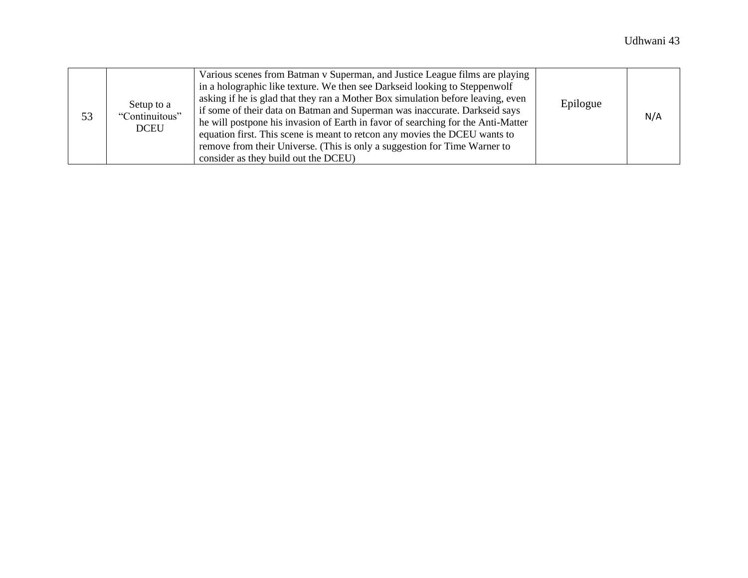| 53 | Setup to a<br>"Continuitous"<br><b>DCEU</b> | Various scenes from Batman v Superman, and Justice League films are playing<br>in a holographic like texture. We then see Darkseid looking to Steppenwolf<br>asking if he is glad that they ran a Mother Box simulation before leaving, even<br>if some of their data on Batman and Superman was inaccurate. Darkseid says<br>he will postpone his invasion of Earth in favor of searching for the Anti-Matter<br>equation first. This scene is meant to retcon any movies the DCEU wants to<br>remove from their Universe. (This is only a suggestion for Time Warner to<br>consider as they build out the DCEU) | Epilogue | N/A |
|----|---------------------------------------------|-------------------------------------------------------------------------------------------------------------------------------------------------------------------------------------------------------------------------------------------------------------------------------------------------------------------------------------------------------------------------------------------------------------------------------------------------------------------------------------------------------------------------------------------------------------------------------------------------------------------|----------|-----|
|----|---------------------------------------------|-------------------------------------------------------------------------------------------------------------------------------------------------------------------------------------------------------------------------------------------------------------------------------------------------------------------------------------------------------------------------------------------------------------------------------------------------------------------------------------------------------------------------------------------------------------------------------------------------------------------|----------|-----|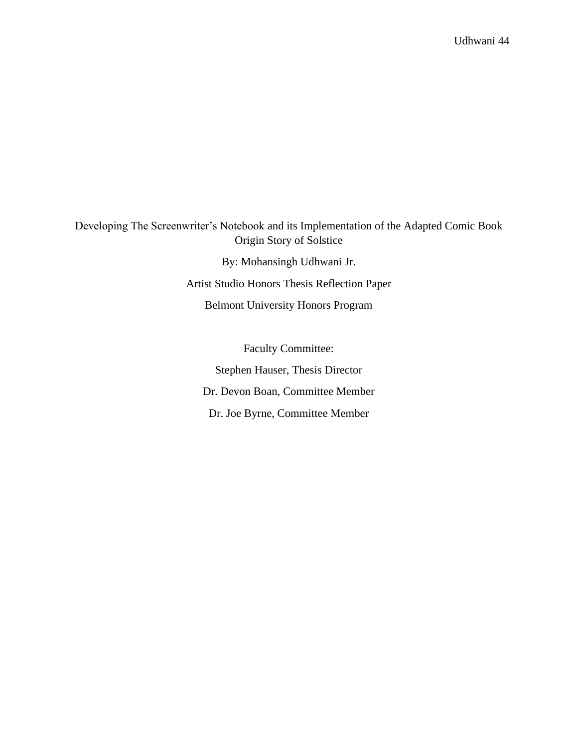Developing The Screenwriter's Notebook and its Implementation of the Adapted Comic Book Origin Story of Solstice

> By: Mohansingh Udhwani Jr. Artist Studio Honors Thesis Reflection Paper Belmont University Honors Program

Faculty Committee: Stephen Hauser, Thesis Director Dr. Devon Boan, Committee Member Dr. Joe Byrne, Committee Member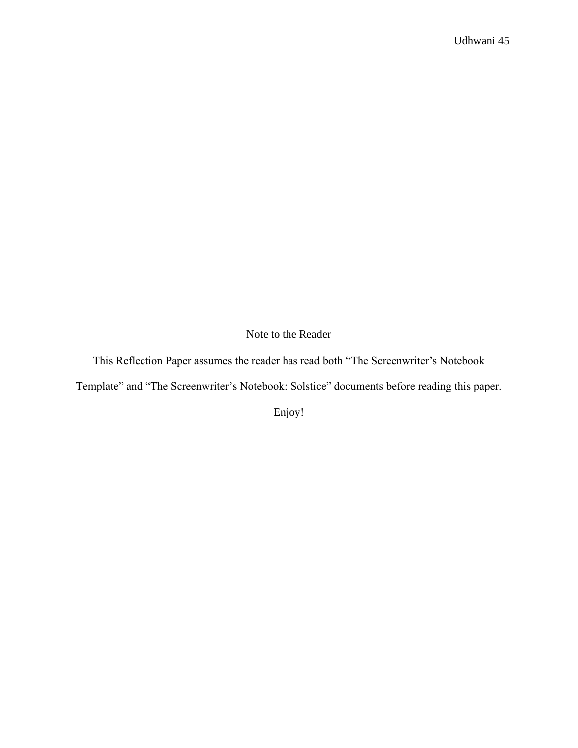Note to the Reader

This Reflection Paper assumes the reader has read both "The Screenwriter's Notebook

Template" and "The Screenwriter's Notebook: Solstice" documents before reading this paper.

Enjoy!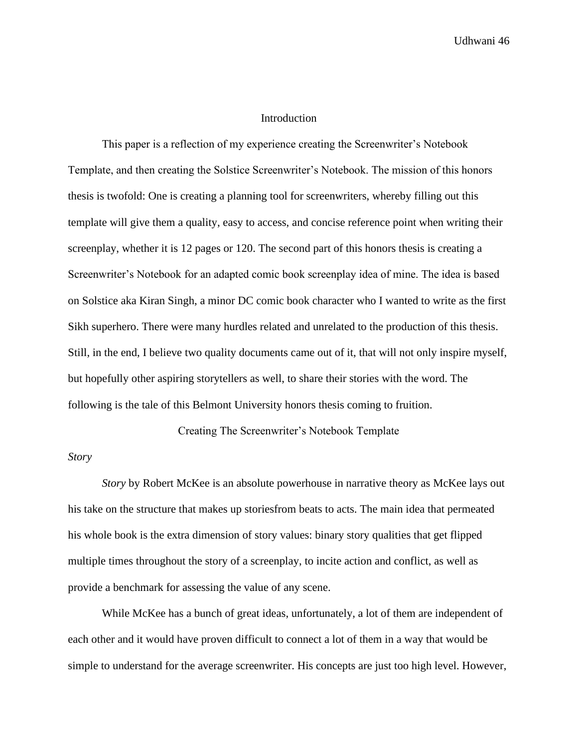#### Introduction

This paper is a reflection of my experience creating the Screenwriter's Notebook Template, and then creating the Solstice Screenwriter's Notebook. The mission of this honors thesis is twofold: One is creating a planning tool for screenwriters, whereby filling out this template will give them a quality, easy to access, and concise reference point when writing their screenplay, whether it is 12 pages or 120. The second part of this honors thesis is creating a Screenwriter's Notebook for an adapted comic book screenplay idea of mine. The idea is based on Solstice aka Kiran Singh, a minor DC comic book character who I wanted to write as the first Sikh superhero. There were many hurdles related and unrelated to the production of this thesis. Still, in the end, I believe two quality documents came out of it, that will not only inspire myself, but hopefully other aspiring storytellers as well, to share their stories with the word. The following is the tale of this Belmont University honors thesis coming to fruition.

#### Creating The Screenwriter's Notebook Template

#### *Story*

*Story* by Robert McKee is an absolute powerhouse in narrative theory as McKee lays out his take on the structure that makes up storiesfrom beats to acts. The main idea that permeated his whole book is the extra dimension of story values: binary story qualities that get flipped multiple times throughout the story of a screenplay, to incite action and conflict, as well as provide a benchmark for assessing the value of any scene.

While McKee has a bunch of great ideas, unfortunately, a lot of them are independent of each other and it would have proven difficult to connect a lot of them in a way that would be simple to understand for the average screenwriter. His concepts are just too high level. However,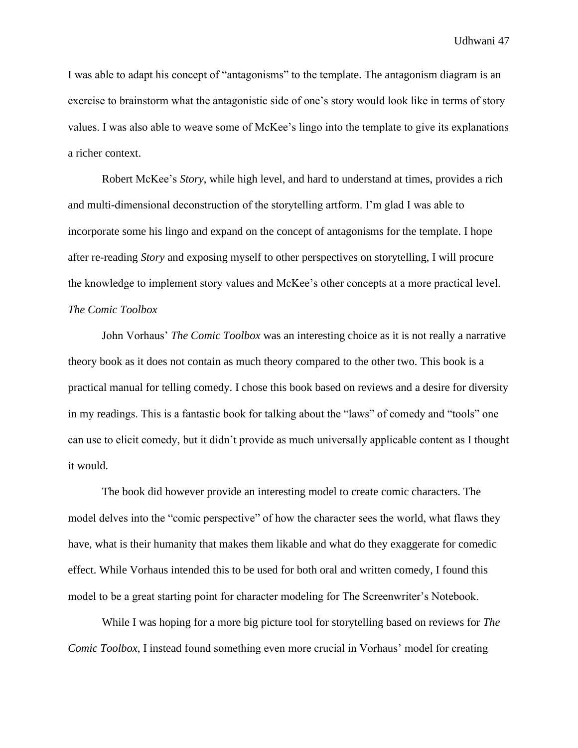I was able to adapt his concept of "antagonisms" to the template. The antagonism diagram is an exercise to brainstorm what the antagonistic side of one's story would look like in terms of story values. I was also able to weave some of McKee's lingo into the template to give its explanations a richer context.

Robert McKee's *Story*, while high level, and hard to understand at times, provides a rich and multi-dimensional deconstruction of the storytelling artform. I'm glad I was able to incorporate some his lingo and expand on the concept of antagonisms for the template. I hope after re-reading *Story* and exposing myself to other perspectives on storytelling, I will procure the knowledge to implement story values and McKee's other concepts at a more practical level. *The Comic Toolbox*

John Vorhaus' *The Comic Toolbox* was an interesting choice as it is not really a narrative theory book as it does not contain as much theory compared to the other two. This book is a practical manual for telling comedy. I chose this book based on reviews and a desire for diversity in my readings. This is a fantastic book for talking about the "laws" of comedy and "tools" one can use to elicit comedy, but it didn't provide as much universally applicable content as I thought it would.

The book did however provide an interesting model to create comic characters. The model delves into the "comic perspective" of how the character sees the world, what flaws they have, what is their humanity that makes them likable and what do they exaggerate for comedic effect. While Vorhaus intended this to be used for both oral and written comedy, I found this model to be a great starting point for character modeling for The Screenwriter's Notebook.

While I was hoping for a more big picture tool for storytelling based on reviews for *The Comic Toolbox*, I instead found something even more crucial in Vorhaus' model for creating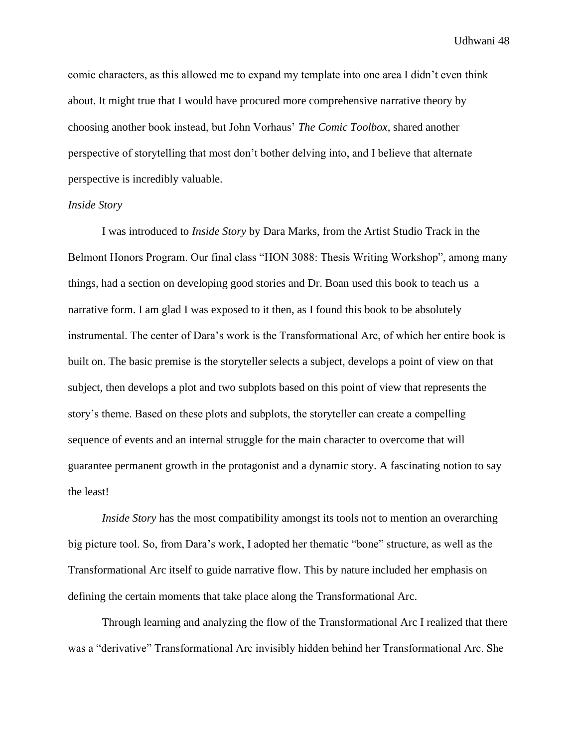comic characters, as this allowed me to expand my template into one area I didn't even think about. It might true that I would have procured more comprehensive narrative theory by choosing another book instead, but John Vorhaus' *The Comic Toolbox*, shared another perspective of storytelling that most don't bother delving into, and I believe that alternate perspective is incredibly valuable.

#### *Inside Story*

I was introduced to *Inside Story* by Dara Marks, from the Artist Studio Track in the Belmont Honors Program. Our final class "HON 3088: Thesis Writing Workshop", among many things, had a section on developing good stories and Dr. Boan used this book to teach us a narrative form. I am glad I was exposed to it then, as I found this book to be absolutely instrumental. The center of Dara's work is the Transformational Arc, of which her entire book is built on. The basic premise is the storyteller selects a subject, develops a point of view on that subject, then develops a plot and two subplots based on this point of view that represents the story's theme. Based on these plots and subplots, the storyteller can create a compelling sequence of events and an internal struggle for the main character to overcome that will guarantee permanent growth in the protagonist and a dynamic story. A fascinating notion to say the least!

*Inside Story* has the most compatibility amongst its tools not to mention an overarching big picture tool. So, from Dara's work, I adopted her thematic "bone" structure, as well as the Transformational Arc itself to guide narrative flow. This by nature included her emphasis on defining the certain moments that take place along the Transformational Arc.

Through learning and analyzing the flow of the Transformational Arc I realized that there was a "derivative" Transformational Arc invisibly hidden behind her Transformational Arc. She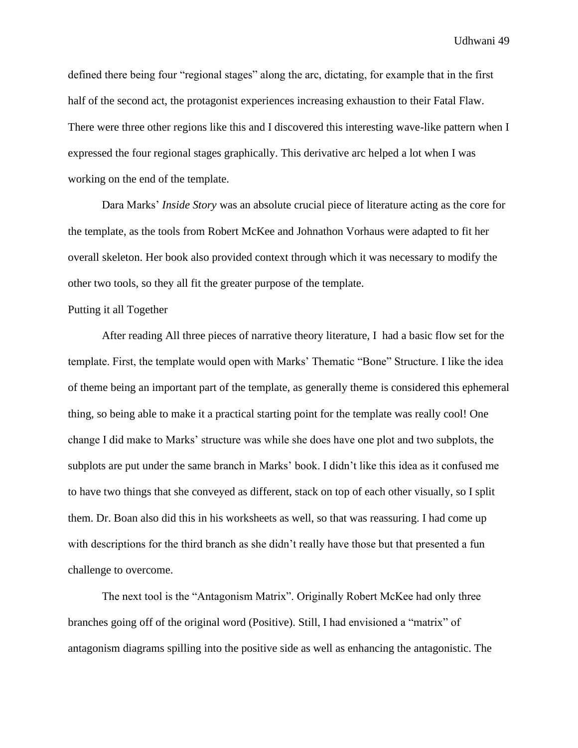defined there being four "regional stages" along the arc, dictating, for example that in the first half of the second act, the protagonist experiences increasing exhaustion to their Fatal Flaw. There were three other regions like this and I discovered this interesting wave-like pattern when I expressed the four regional stages graphically. This derivative arc helped a lot when I was working on the end of the template.

Dara Marks' *Inside Story* was an absolute crucial piece of literature acting as the core for the template, as the tools from Robert McKee and Johnathon Vorhaus were adapted to fit her overall skeleton. Her book also provided context through which it was necessary to modify the other two tools, so they all fit the greater purpose of the template.

#### Putting it all Together

After reading All three pieces of narrative theory literature, I had a basic flow set for the template. First, the template would open with Marks' Thematic "Bone" Structure. I like the idea of theme being an important part of the template, as generally theme is considered this ephemeral thing, so being able to make it a practical starting point for the template was really cool! One change I did make to Marks' structure was while she does have one plot and two subplots, the subplots are put under the same branch in Marks' book. I didn't like this idea as it confused me to have two things that she conveyed as different, stack on top of each other visually, so I split them. Dr. Boan also did this in his worksheets as well, so that was reassuring. I had come up with descriptions for the third branch as she didn't really have those but that presented a fun challenge to overcome.

The next tool is the "Antagonism Matrix". Originally Robert McKee had only three branches going off of the original word (Positive). Still, I had envisioned a "matrix" of antagonism diagrams spilling into the positive side as well as enhancing the antagonistic. The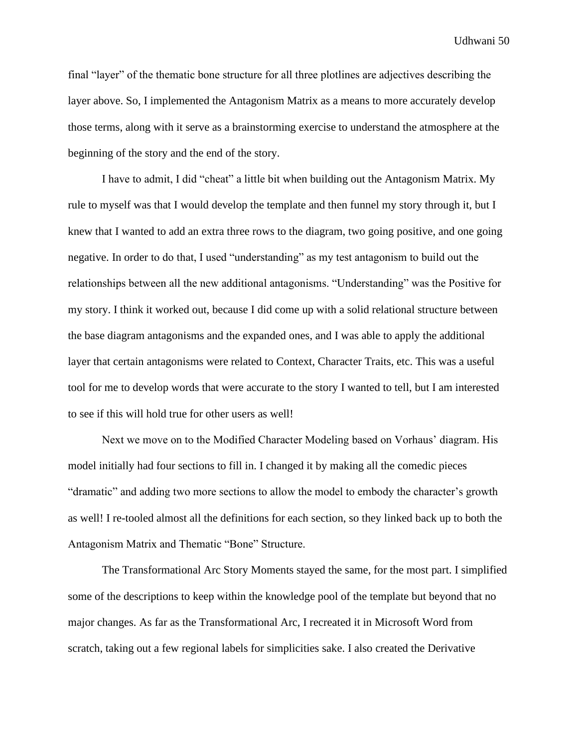final "layer" of the thematic bone structure for all three plotlines are adjectives describing the layer above. So, I implemented the Antagonism Matrix as a means to more accurately develop those terms, along with it serve as a brainstorming exercise to understand the atmosphere at the beginning of the story and the end of the story.

I have to admit, I did "cheat" a little bit when building out the Antagonism Matrix. My rule to myself was that I would develop the template and then funnel my story through it, but I knew that I wanted to add an extra three rows to the diagram, two going positive, and one going negative. In order to do that, I used "understanding" as my test antagonism to build out the relationships between all the new additional antagonisms. "Understanding" was the Positive for my story. I think it worked out, because I did come up with a solid relational structure between the base diagram antagonisms and the expanded ones, and I was able to apply the additional layer that certain antagonisms were related to Context, Character Traits, etc. This was a useful tool for me to develop words that were accurate to the story I wanted to tell, but I am interested to see if this will hold true for other users as well!

Next we move on to the Modified Character Modeling based on Vorhaus' diagram. His model initially had four sections to fill in. I changed it by making all the comedic pieces "dramatic" and adding two more sections to allow the model to embody the character's growth as well! I re-tooled almost all the definitions for each section, so they linked back up to both the Antagonism Matrix and Thematic "Bone" Structure.

The Transformational Arc Story Moments stayed the same, for the most part. I simplified some of the descriptions to keep within the knowledge pool of the template but beyond that no major changes. As far as the Transformational Arc, I recreated it in Microsoft Word from scratch, taking out a few regional labels for simplicities sake. I also created the Derivative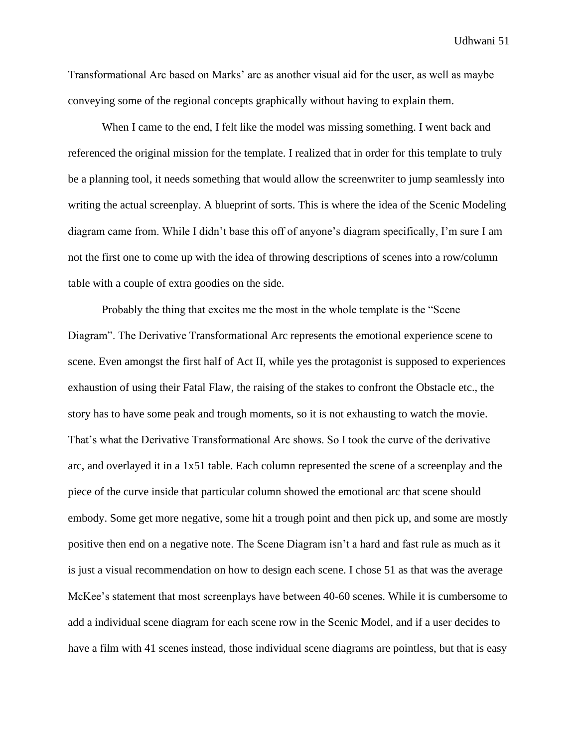Transformational Arc based on Marks' arc as another visual aid for the user, as well as maybe conveying some of the regional concepts graphically without having to explain them.

When I came to the end, I felt like the model was missing something. I went back and referenced the original mission for the template. I realized that in order for this template to truly be a planning tool, it needs something that would allow the screenwriter to jump seamlessly into writing the actual screenplay. A blueprint of sorts. This is where the idea of the Scenic Modeling diagram came from. While I didn't base this off of anyone's diagram specifically, I'm sure I am not the first one to come up with the idea of throwing descriptions of scenes into a row/column table with a couple of extra goodies on the side.

Probably the thing that excites me the most in the whole template is the "Scene Diagram". The Derivative Transformational Arc represents the emotional experience scene to scene. Even amongst the first half of Act II, while yes the protagonist is supposed to experiences exhaustion of using their Fatal Flaw, the raising of the stakes to confront the Obstacle etc., the story has to have some peak and trough moments, so it is not exhausting to watch the movie. That's what the Derivative Transformational Arc shows. So I took the curve of the derivative arc, and overlayed it in a 1x51 table. Each column represented the scene of a screenplay and the piece of the curve inside that particular column showed the emotional arc that scene should embody. Some get more negative, some hit a trough point and then pick up, and some are mostly positive then end on a negative note. The Scene Diagram isn't a hard and fast rule as much as it is just a visual recommendation on how to design each scene. I chose 51 as that was the average McKee's statement that most screenplays have between 40-60 scenes. While it is cumbersome to add a individual scene diagram for each scene row in the Scenic Model, and if a user decides to have a film with 41 scenes instead, those individual scene diagrams are pointless, but that is easy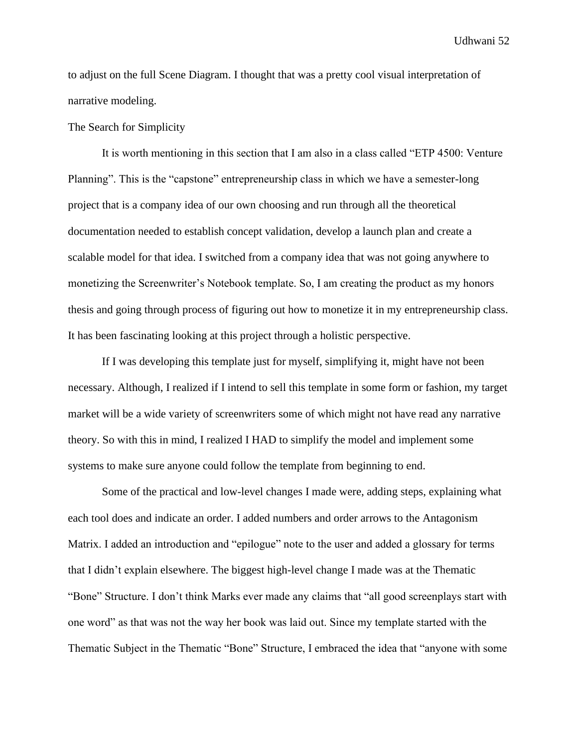to adjust on the full Scene Diagram. I thought that was a pretty cool visual interpretation of narrative modeling.

The Search for Simplicity

It is worth mentioning in this section that I am also in a class called "ETP 4500: Venture Planning". This is the "capstone" entrepreneurship class in which we have a semester-long project that is a company idea of our own choosing and run through all the theoretical documentation needed to establish concept validation, develop a launch plan and create a scalable model for that idea. I switched from a company idea that was not going anywhere to monetizing the Screenwriter's Notebook template. So, I am creating the product as my honors thesis and going through process of figuring out how to monetize it in my entrepreneurship class. It has been fascinating looking at this project through a holistic perspective.

If I was developing this template just for myself, simplifying it, might have not been necessary. Although, I realized if I intend to sell this template in some form or fashion, my target market will be a wide variety of screenwriters some of which might not have read any narrative theory. So with this in mind, I realized I HAD to simplify the model and implement some systems to make sure anyone could follow the template from beginning to end.

Some of the practical and low-level changes I made were, adding steps, explaining what each tool does and indicate an order. I added numbers and order arrows to the Antagonism Matrix. I added an introduction and "epilogue" note to the user and added a glossary for terms that I didn't explain elsewhere. The biggest high-level change I made was at the Thematic "Bone" Structure. I don't think Marks ever made any claims that "all good screenplays start with one word" as that was not the way her book was laid out. Since my template started with the Thematic Subject in the Thematic "Bone" Structure, I embraced the idea that "anyone with some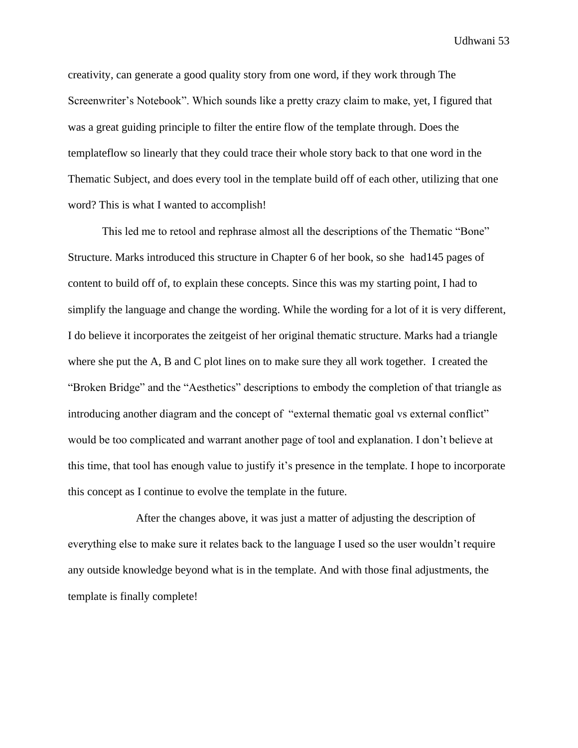creativity, can generate a good quality story from one word, if they work through The Screenwriter's Notebook". Which sounds like a pretty crazy claim to make, yet, I figured that was a great guiding principle to filter the entire flow of the template through. Does the templateflow so linearly that they could trace their whole story back to that one word in the Thematic Subject, and does every tool in the template build off of each other, utilizing that one word? This is what I wanted to accomplish!

This led me to retool and rephrase almost all the descriptions of the Thematic "Bone" Structure. Marks introduced this structure in Chapter 6 of her book, so she had145 pages of content to build off of, to explain these concepts. Since this was my starting point, I had to simplify the language and change the wording. While the wording for a lot of it is very different, I do believe it incorporates the zeitgeist of her original thematic structure. Marks had a triangle where she put the A, B and C plot lines on to make sure they all work together. I created the "Broken Bridge" and the "Aesthetics" descriptions to embody the completion of that triangle as introducing another diagram and the concept of "external thematic goal vs external conflict" would be too complicated and warrant another page of tool and explanation. I don't believe at this time, that tool has enough value to justify it's presence in the template. I hope to incorporate this concept as I continue to evolve the template in the future.

After the changes above, it was just a matter of adjusting the description of everything else to make sure it relates back to the language I used so the user wouldn't require any outside knowledge beyond what is in the template. And with those final adjustments, the template is finally complete!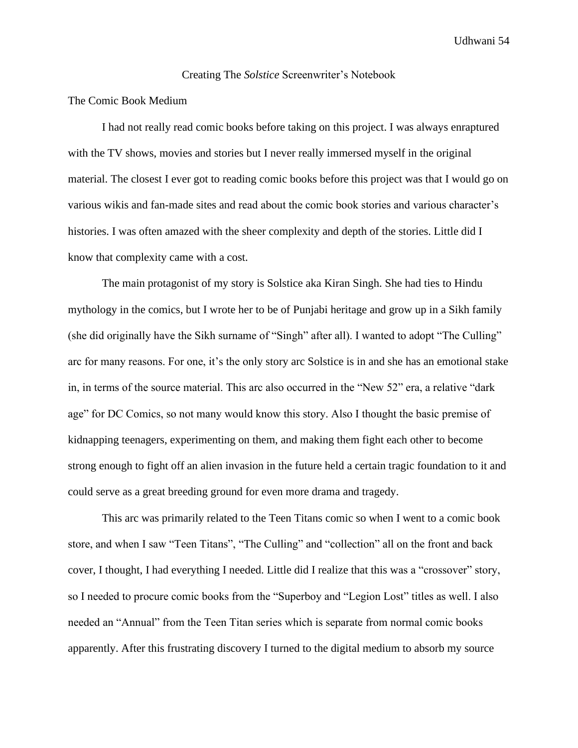#### Creating The *Solstice* Screenwriter's Notebook

#### The Comic Book Medium

I had not really read comic books before taking on this project. I was always enraptured with the TV shows, movies and stories but I never really immersed myself in the original material. The closest I ever got to reading comic books before this project was that I would go on various wikis and fan-made sites and read about the comic book stories and various character's histories. I was often amazed with the sheer complexity and depth of the stories. Little did I know that complexity came with a cost.

The main protagonist of my story is Solstice aka Kiran Singh. She had ties to Hindu mythology in the comics, but I wrote her to be of Punjabi heritage and grow up in a Sikh family (she did originally have the Sikh surname of "Singh" after all). I wanted to adopt "The Culling" arc for many reasons. For one, it's the only story arc Solstice is in and she has an emotional stake in, in terms of the source material. This arc also occurred in the "New 52" era, a relative "dark age" for DC Comics, so not many would know this story. Also I thought the basic premise of kidnapping teenagers, experimenting on them, and making them fight each other to become strong enough to fight off an alien invasion in the future held a certain tragic foundation to it and could serve as a great breeding ground for even more drama and tragedy.

This arc was primarily related to the Teen Titans comic so when I went to a comic book store, and when I saw "Teen Titans", "The Culling" and "collection" all on the front and back cover, I thought, I had everything I needed. Little did I realize that this was a "crossover" story, so I needed to procure comic books from the "Superboy and "Legion Lost" titles as well. I also needed an "Annual" from the Teen Titan series which is separate from normal comic books apparently. After this frustrating discovery I turned to the digital medium to absorb my source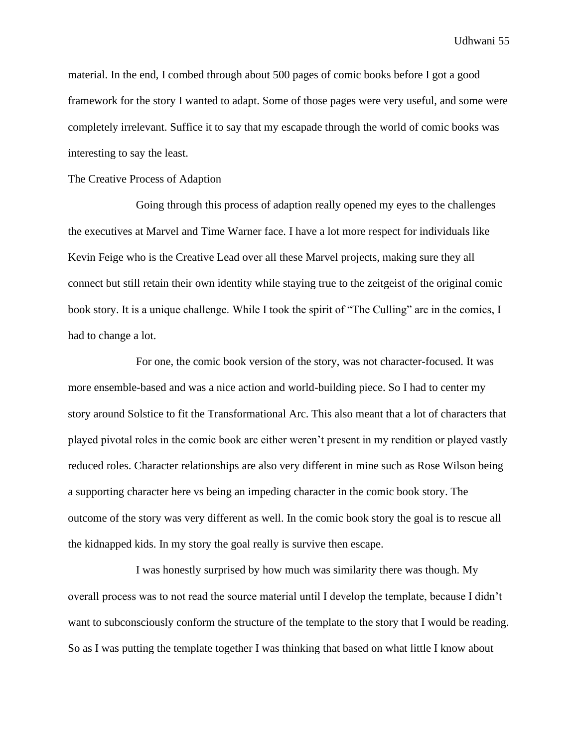material. In the end, I combed through about 500 pages of comic books before I got a good framework for the story I wanted to adapt. Some of those pages were very useful, and some were completely irrelevant. Suffice it to say that my escapade through the world of comic books was interesting to say the least.

#### The Creative Process of Adaption

Going through this process of adaption really opened my eyes to the challenges the executives at Marvel and Time Warner face. I have a lot more respect for individuals like Kevin Feige who is the Creative Lead over all these Marvel projects, making sure they all connect but still retain their own identity while staying true to the zeitgeist of the original comic book story. It is a unique challenge. While I took the spirit of "The Culling" arc in the comics, I had to change a lot.

For one, the comic book version of the story, was not character-focused. It was more ensemble-based and was a nice action and world-building piece. So I had to center my story around Solstice to fit the Transformational Arc. This also meant that a lot of characters that played pivotal roles in the comic book arc either weren't present in my rendition or played vastly reduced roles. Character relationships are also very different in mine such as Rose Wilson being a supporting character here vs being an impeding character in the comic book story. The outcome of the story was very different as well. In the comic book story the goal is to rescue all the kidnapped kids. In my story the goal really is survive then escape.

I was honestly surprised by how much was similarity there was though. My overall process was to not read the source material until I develop the template, because I didn't want to subconsciously conform the structure of the template to the story that I would be reading. So as I was putting the template together I was thinking that based on what little I know about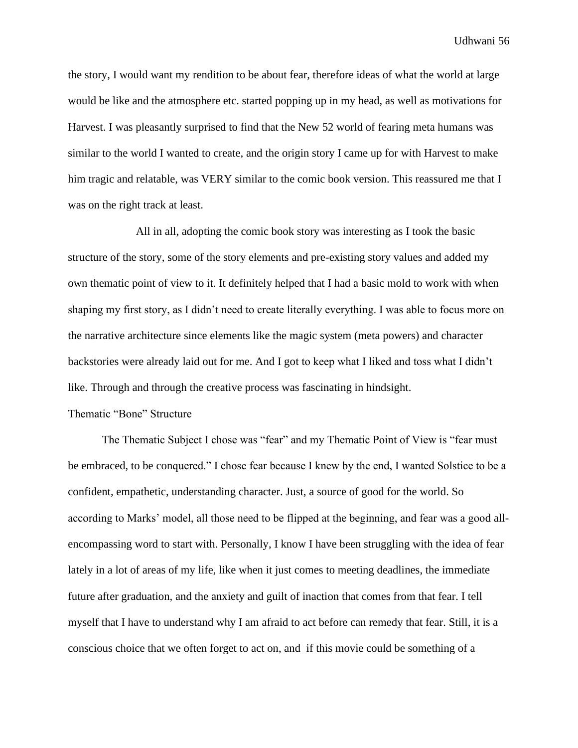the story, I would want my rendition to be about fear, therefore ideas of what the world at large would be like and the atmosphere etc. started popping up in my head, as well as motivations for Harvest. I was pleasantly surprised to find that the New 52 world of fearing meta humans was similar to the world I wanted to create, and the origin story I came up for with Harvest to make him tragic and relatable, was VERY similar to the comic book version. This reassured me that I was on the right track at least.

All in all, adopting the comic book story was interesting as I took the basic structure of the story, some of the story elements and pre-existing story values and added my own thematic point of view to it. It definitely helped that I had a basic mold to work with when shaping my first story, as I didn't need to create literally everything. I was able to focus more on the narrative architecture since elements like the magic system (meta powers) and character backstories were already laid out for me. And I got to keep what I liked and toss what I didn't like. Through and through the creative process was fascinating in hindsight.

#### Thematic "Bone" Structure

The Thematic Subject I chose was "fear" and my Thematic Point of View is "fear must be embraced, to be conquered." I chose fear because I knew by the end, I wanted Solstice to be a confident, empathetic, understanding character. Just, a source of good for the world. So according to Marks' model, all those need to be flipped at the beginning, and fear was a good allencompassing word to start with. Personally, I know I have been struggling with the idea of fear lately in a lot of areas of my life, like when it just comes to meeting deadlines, the immediate future after graduation, and the anxiety and guilt of inaction that comes from that fear. I tell myself that I have to understand why I am afraid to act before can remedy that fear. Still, it is a conscious choice that we often forget to act on, and if this movie could be something of a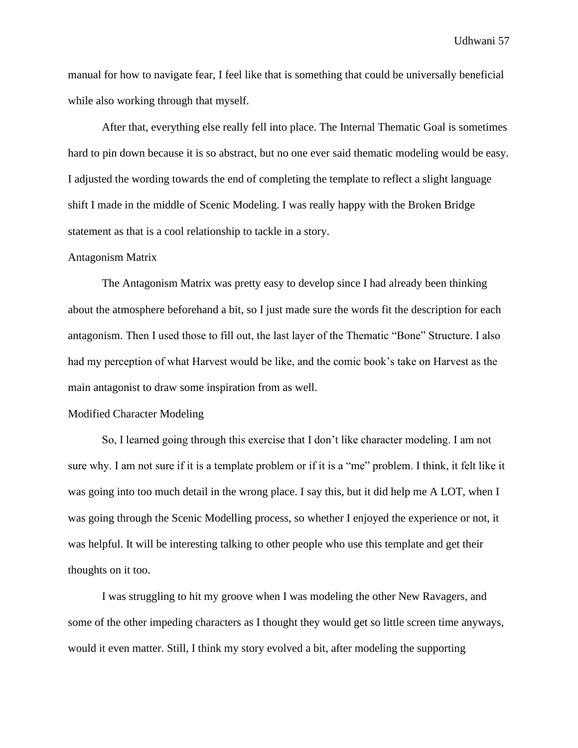manual for how to navigate fear, I feel like that is something that could be universally beneficial while also working through that myself.

After that, everything else really fell into place. The Internal Thematic Goal is sometimes hard to pin down because it is so abstract, but no one ever said thematic modeling would be easy. I adjusted the wording towards the end of completing the template to reflect a slight language shift I made in the middle of Scenic Modeling. I was really happy with the Broken Bridge statement as that is a cool relationship to tackle in a story.

#### Antagonism Matrix

The Antagonism Matrix was pretty easy to develop since I had already been thinking about the atmosphere beforehand a bit, so I just made sure the words fit the description for each antagonism. Then I used those to fill out, the last layer of the Thematic "Bone" Structure. I also had my perception of what Harvest would be like, and the comic book's take on Harvest as the main antagonist to draw some inspiration from as well.

#### Modified Character Modeling

So, I learned going through this exercise that I don't like character modeling. I am not sure why. I am not sure if it is a template problem or if it is a "me" problem. I think, it felt like it was going into too much detail in the wrong place. I say this, but it did help me A LOT, when I was going through the Scenic Modelling process, so whether I enjoyed the experience or not, it was helpful. It will be interesting talking to other people who use this template and get their thoughts on it too.

I was struggling to hit my groove when I was modeling the other New Ravagers, and some of the other impeding characters as I thought they would get so little screen time anyways, would it even matter. Still, I think my story evolved a bit, after modeling the supporting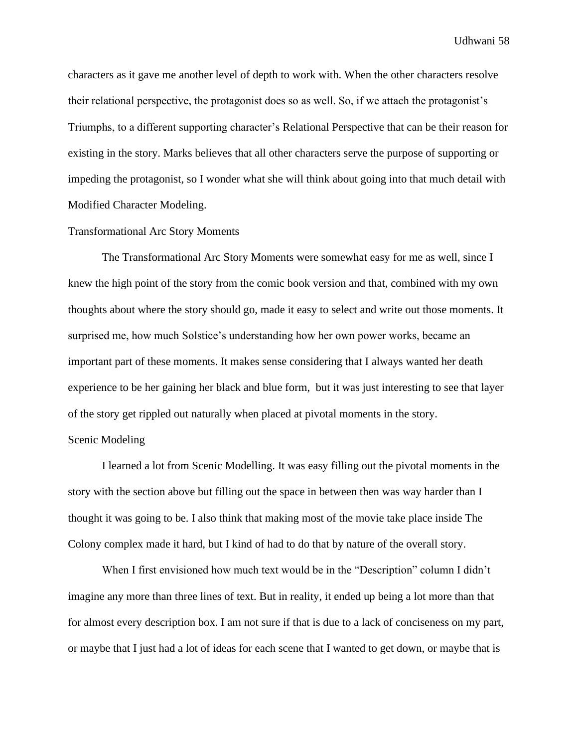characters as it gave me another level of depth to work with. When the other characters resolve their relational perspective, the protagonist does so as well. So, if we attach the protagonist's Triumphs, to a different supporting character's Relational Perspective that can be their reason for existing in the story. Marks believes that all other characters serve the purpose of supporting or impeding the protagonist, so I wonder what she will think about going into that much detail with Modified Character Modeling.

#### Transformational Arc Story Moments

The Transformational Arc Story Moments were somewhat easy for me as well, since I knew the high point of the story from the comic book version and that, combined with my own thoughts about where the story should go, made it easy to select and write out those moments. It surprised me, how much Solstice's understanding how her own power works, became an important part of these moments. It makes sense considering that I always wanted her death experience to be her gaining her black and blue form, but it was just interesting to see that layer of the story get rippled out naturally when placed at pivotal moments in the story. Scenic Modeling

## I learned a lot from Scenic Modelling. It was easy filling out the pivotal moments in the story with the section above but filling out the space in between then was way harder than I thought it was going to be. I also think that making most of the movie take place inside The Colony complex made it hard, but I kind of had to do that by nature of the overall story.

When I first envisioned how much text would be in the "Description" column I didn't imagine any more than three lines of text. But in reality, it ended up being a lot more than that for almost every description box. I am not sure if that is due to a lack of conciseness on my part, or maybe that I just had a lot of ideas for each scene that I wanted to get down, or maybe that is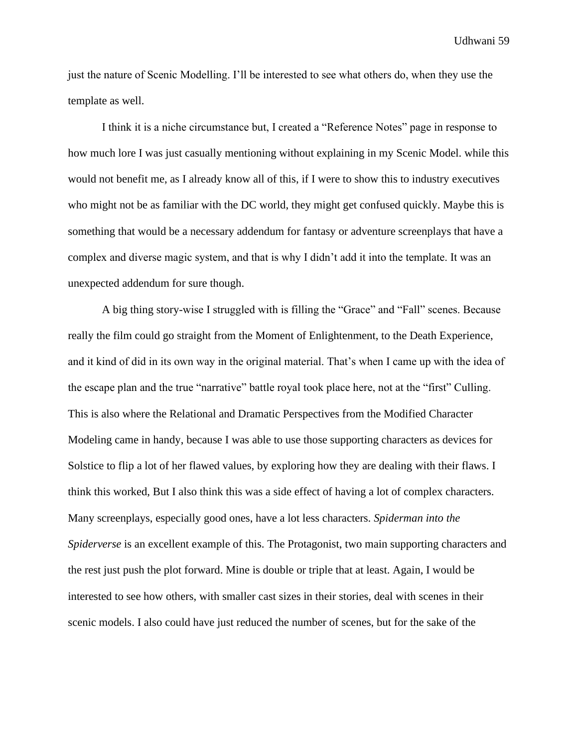just the nature of Scenic Modelling. I'll be interested to see what others do, when they use the template as well.

I think it is a niche circumstance but, I created a "Reference Notes" page in response to how much lore I was just casually mentioning without explaining in my Scenic Model. while this would not benefit me, as I already know all of this, if I were to show this to industry executives who might not be as familiar with the DC world, they might get confused quickly. Maybe this is something that would be a necessary addendum for fantasy or adventure screenplays that have a complex and diverse magic system, and that is why I didn't add it into the template. It was an unexpected addendum for sure though.

A big thing story-wise I struggled with is filling the "Grace" and "Fall" scenes. Because really the film could go straight from the Moment of Enlightenment, to the Death Experience, and it kind of did in its own way in the original material. That's when I came up with the idea of the escape plan and the true "narrative" battle royal took place here, not at the "first" Culling. This is also where the Relational and Dramatic Perspectives from the Modified Character Modeling came in handy, because I was able to use those supporting characters as devices for Solstice to flip a lot of her flawed values, by exploring how they are dealing with their flaws. I think this worked, But I also think this was a side effect of having a lot of complex characters. Many screenplays, especially good ones, have a lot less characters. *Spiderman into the Spiderverse* is an excellent example of this. The Protagonist, two main supporting characters and the rest just push the plot forward. Mine is double or triple that at least. Again, I would be interested to see how others, with smaller cast sizes in their stories, deal with scenes in their scenic models. I also could have just reduced the number of scenes, but for the sake of the